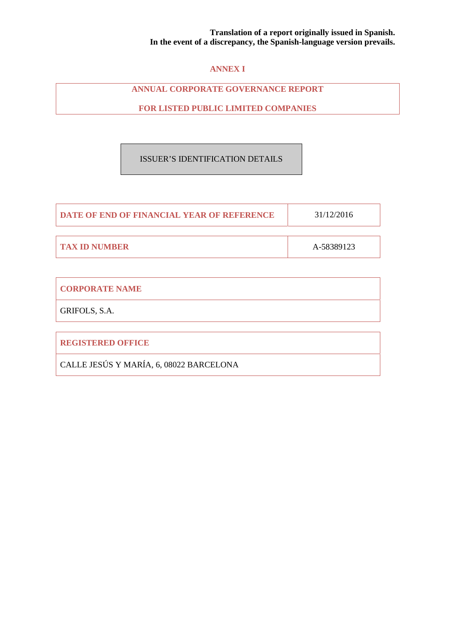## **ANNEX I**

## **ANNUAL CORPORATE GOVERNANCE REPORT**

**FOR LISTED PUBLIC LIMITED COMPANIES** 

## ISSUER'S IDENTIFICATION DETAILS

| <b>DATE OF END OF FINANCIAL YEAR OF REFERENCE</b> | 31/12/2016 |
|---------------------------------------------------|------------|
|                                                   |            |
| <b>TAX ID NUMBER</b>                              | A-58389123 |

| <b>CORPORATE NAME</b>    |  |
|--------------------------|--|
| GRIFOLS, S.A.            |  |
|                          |  |
| <b>REGISTERED OFFICE</b> |  |

CALLE JESÚS Y MARÍA, 6, 08022 BARCELONA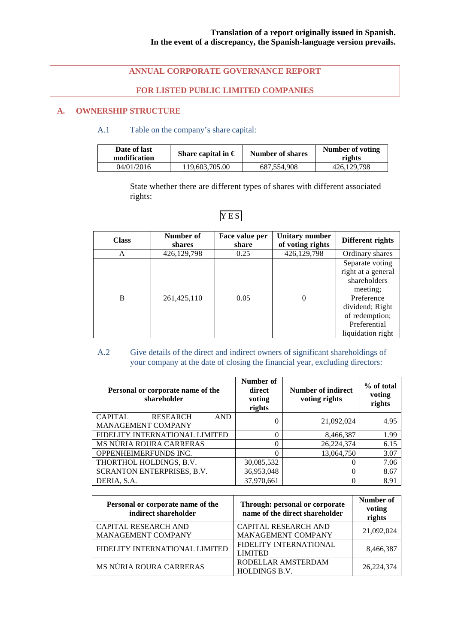## **ANNUAL CORPORATE GOVERNANCE REPORT**

## **FOR LISTED PUBLIC LIMITED COMPANIES**

## **A. OWNERSHIP STRUCTURE**

## A.1 Table on the company's share capital:

| Date of last<br>modification | Share capital in $\epsilon$ | Number of shares | Number of voting<br>rights |
|------------------------------|-----------------------------|------------------|----------------------------|
| 04/01/2016                   | 119,603,705.00              | 687.554.908      | 426,129,798                |

State whether there are different types of shares with different associated rights:

| <b>Class</b> | Number of<br>shares | Face value per<br>share | <b>Unitary number</b><br>of voting rights | Different rights                                                                                                                                          |
|--------------|---------------------|-------------------------|-------------------------------------------|-----------------------------------------------------------------------------------------------------------------------------------------------------------|
| A            | 426,129,798         | 0.25                    | 426,129,798                               | Ordinary shares                                                                                                                                           |
| B            | 261,425,110         | 0.05                    | $\Omega$                                  | Separate voting<br>right at a general<br>shareholders<br>meeting;<br>Preference<br>dividend; Right<br>of redemption;<br>Preferential<br>liquidation right |

## YES

## A.2 Give details of the direct and indirect owners of significant shareholdings of your company at the date of closing the financial year, excluding directors:

| Personal or corporate name of the<br>shareholder                      | Number of<br>direct<br>voting<br>rights | Number of indirect<br>voting rights | % of total<br>voting<br>rights |
|-----------------------------------------------------------------------|-----------------------------------------|-------------------------------------|--------------------------------|
| <b>CAPITAL</b><br><b>RESEARCH</b><br><b>AND</b><br>MANAGEMENT COMPANY | 0                                       | 21,092,024                          | 4.95                           |
| FIDELITY INTERNATIONAL LIMITED                                        | 0                                       | 8,466,387                           | 1.99                           |
| MS NÚRIA ROURA CARRERAS                                               | 0                                       | 26,224,374                          | 6.15                           |
| OPPENHEIMERFUNDS INC.                                                 | 0                                       | 13,064,750                          | 3.07                           |
| THORTHOL HOLDINGS, B.V.                                               | 30,085,532                              |                                     | 7.06                           |
| SCRANTON ENTERPRISES, B.V.                                            | 36,953,048                              | 0                                   | 8.67                           |
| DERIA, S.A.                                                           | 37,970,661                              |                                     | 8.91                           |

| Personal or corporate name of the<br>indirect shareholder | Through: personal or corporate<br>name of the direct shareholder | Number of<br>voting<br>rights |
|-----------------------------------------------------------|------------------------------------------------------------------|-------------------------------|
| <b>CAPITAL RESEARCH AND</b><br>MANAGEMENT COMPANY         | <b>CAPITAL RESEARCH AND</b><br>MANAGEMENT COMPANY                | 21,092,024                    |
| FIDELITY INTERNATIONAL LIMITED                            | FIDELITY INTERNATIONAL<br><b>LIMITED</b>                         | 8.466.387                     |
| MS NÚRIA ROURA CARRERAS                                   | RODELLAR AMSTERDAM<br><b>HOLDINGS B.V.</b>                       | 26, 224, 374                  |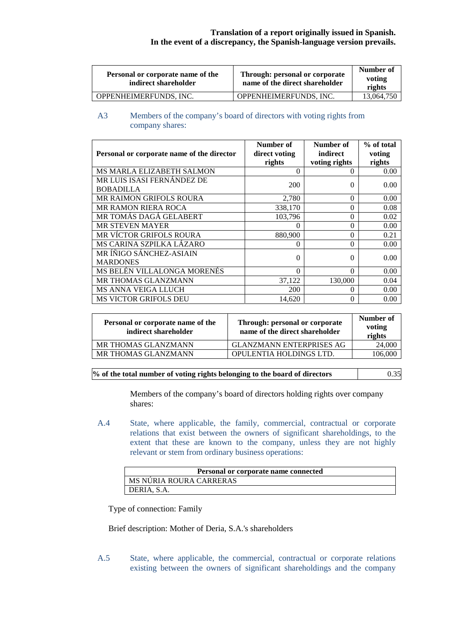| Personal or corporate name of the<br>indirect shareholder | Through: personal or corporate<br>name of the direct shareholder | Number of<br>voting<br>rights |
|-----------------------------------------------------------|------------------------------------------------------------------|-------------------------------|
| OPPENHEIMERFUNDS, INC.                                    | OPPENHEIMERFUNDS, INC.                                           | 13,064,750                    |

## A3 Members of the company's board of directors with voting rights from company shares:

|                                            | Number of     | Number of     | % of total |
|--------------------------------------------|---------------|---------------|------------|
| Personal or corporate name of the director | direct voting | indirect      | voting     |
|                                            | rights        | voting rights | rights     |
| MS MARLA ELIZABETH SALMON                  | 0             | $\theta$      | 0.00       |
| MR LUIS ISASI FERNÁNDEZ DE                 | 200           | $\theta$      | 0.00       |
| <b>BOBADILLA</b>                           |               |               |            |
| MR RAIMON GRIFOLS ROURA                    | 2,780         | $\Omega$      | 0.00       |
| <b>MR RAMON RIERA ROCA</b>                 | 338,170       | 0             | 0.08       |
| MR TOMÁS DAGÁ GELABERT                     | 103.796       | 0             | 0.02       |
| <b>MR STEVEN MAYER</b>                     |               | 0             | 0.00       |
| MR VÍCTOR GRIFOLS ROURA                    | 880,900       | $\theta$      | 0.21       |
| MS CARINA SZPILKA LÁZARO                   | 0             | $\theta$      | 0.00       |
| MR ÍÑIGO SÁNCHEZ-ASIAIN                    | 0             | $\theta$      | 0.00       |
| <b>MARDONES</b>                            |               |               |            |
| MS BELÉN VILLALONGA MORENÉS                | $\Omega$      | 0             | 0.00       |
| MR THOMAS GLANZMANN                        | 37,122        | 130,000       | 0.04       |
| <b>MS ANNA VEIGA LLUCH</b>                 | 200           | $\theta$      | 0.00       |
| <b>MS VICTOR GRIFOLS DEU</b>               | 14,620        | 0             | 0.00       |

| Personal or corporate name of the<br>indirect shareholder | Through: personal or corporate<br>name of the direct shareholder | Number of<br>voting<br>rights |
|-----------------------------------------------------------|------------------------------------------------------------------|-------------------------------|
| MR THOMAS GLANZMANN                                       | <b>GLANZMANN ENTERPRISES AG</b>                                  | 24,000                        |
| MR THOMAS GLANZMANN                                       | OPULENTIA HOLDINGS LTD.                                          | 106,000                       |

| % of the total number of voting rights belonging to the board of directors | 0.35 |
|----------------------------------------------------------------------------|------|
|                                                                            |      |

Members of the company's board of directors holding rights over company shares:

A.4 State, where applicable, the family, commercial, contractual or corporate relations that exist between the owners of significant shareholdings, to the extent that these are known to the company, unless they are not highly relevant or stem from ordinary business operations:

| Personal or corporate name connected |
|--------------------------------------|
| <b>MS NURIA ROURA CARRERAS</b>       |
| DERIA, S.A.                          |

Type of connection: Family

Brief description: Mother of Deria, S.A.'s shareholders

A.5 State, where applicable, the commercial, contractual or corporate relations existing between the owners of significant shareholdings and the company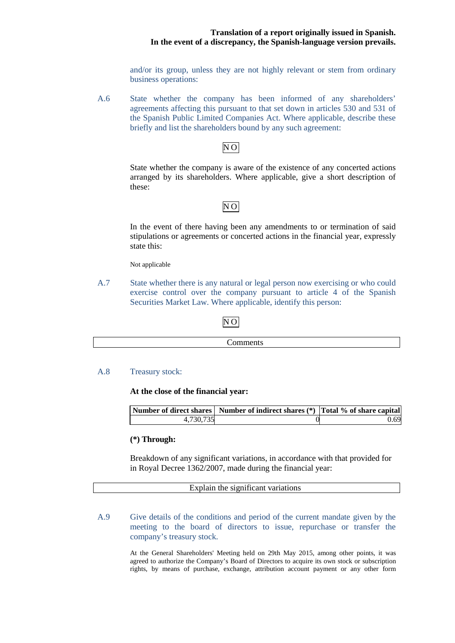and/or its group, unless they are not highly relevant or stem from ordinary business operations:

A.6 State whether the company has been informed of any shareholders' agreements affecting this pursuant to that set down in articles 530 and 531 of the Spanish Public Limited Companies Act. Where applicable, describe these briefly and list the shareholders bound by any such agreement:

## NO

State whether the company is aware of the existence of any concerted actions arranged by its shareholders. Where applicable, give a short description of these:

## NO

In the event of there having been any amendments to or termination of said stipulations or agreements or concerted actions in the financial year, expressly state this:

Not applicable

A.7 State whether there is any natural or legal person now exercising or who could exercise control over the company pursuant to article 4 of the Spanish Securities Market Law. Where applicable, identify this person:

## NO

|--|

A.8 Treasury stock:

**At the close of the financial year:** 

|           | Number of direct shares   Number of indirect shares (*)   Total % of share capital |      |
|-----------|------------------------------------------------------------------------------------|------|
| 4.730.735 |                                                                                    | 0.69 |

## **(\*) Through:**

Breakdown of any significant variations, in accordance with that provided for in Royal Decree 1362/2007, made during the financial year:

### Explain the significant variations

## A.9 Give details of the conditions and period of the current mandate given by the meeting to the board of directors to issue, repurchase or transfer the company's treasury stock.

At the General Shareholders' Meeting held on 29th May 2015, among other points, it was agreed to authorize the Company's Board of Directors to acquire its own stock or subscription rights, by means of purchase, exchange, attribution account payment or any other form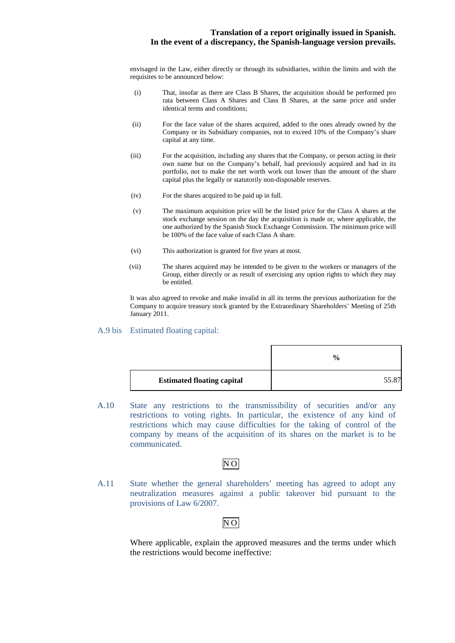envisaged in the Law, either directly or through its subsidiaries, within the limits and with the requisites to be announced below:

- (i) That, insofar as there are Class B Shares, the acquisition should be performed pro rata between Class A Shares and Class B Shares, at the same price and under identical terms and conditions;
- (ii) For the face value of the shares acquired, added to the ones already owned by the Company or its Subsidiary companies, not to exceed 10% of the Company's share capital at any time.
- (iii) For the acquisition, including any shares that the Company, or person acting in their own name but on the Company's behalf, had previously acquired and had in its portfolio, not to make the net worth work out lower than the amount of the share capital plus the legally or statutorily non-disposable reserves.
- (iv) For the shares acquired to be paid up in full.
- (v) The maximum acquisition price will be the listed price for the Class A shares at the stock exchange session on the day the acquisition is made or, where applicable, the one authorized by the Spanish Stock Exchange Commission. The minimum price will be 100% of the face value of each Class A share.
- (vi) This authorization is granted for five years at most.
- (vii) The shares acquired may be intended to be given to the workers or managers of the Group, either directly or as result of exercising any option rights to which they may be entitled.

It was also agreed to revoke and make invalid in all its terms the previous authorization for the Company to acquire treasury stock granted by the Extraordinary Shareholders' Meeting of 25th January 2011.

## A.9 bis Estimated floating capital:

|                                   | $\frac{6}{9}$ |
|-----------------------------------|---------------|
| <b>Estimated floating capital</b> | 55.87         |

A.10 State any restrictions to the transmissibility of securities and/or any restrictions to voting rights. In particular, the existence of any kind of restrictions which may cause difficulties for the taking of control of the company by means of the acquisition of its shares on the market is to be communicated.

## NO

A.11 State whether the general shareholders' meeting has agreed to adopt any neutralization measures against a public takeover bid pursuant to the provisions of Law 6/2007.

## $N<sub>O</sub>$

Where applicable, explain the approved measures and the terms under which the restrictions would become ineffective: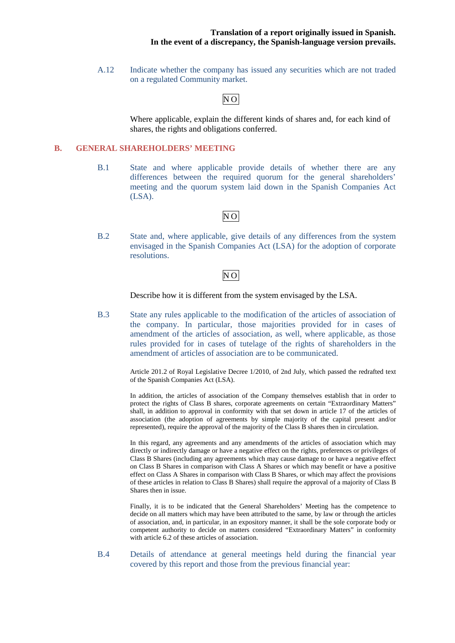A.12 Indicate whether the company has issued any securities which are not traded on a regulated Community market.

## NO

Where applicable, explain the different kinds of shares and, for each kind of shares, the rights and obligations conferred.

## **B. GENERAL SHAREHOLDERS' MEETING**

B.1 State and where applicable provide details of whether there are any differences between the required quorum for the general shareholders' meeting and the quorum system laid down in the Spanish Companies Act (LSA).

## NO

B.2 State and, where applicable, give details of any differences from the system envisaged in the Spanish Companies Act (LSA) for the adoption of corporate resolutions.

## NO

Describe how it is different from the system envisaged by the LSA.

B.3 State any rules applicable to the modification of the articles of association of the company. In particular, those majorities provided for in cases of amendment of the articles of association, as well, where applicable, as those rules provided for in cases of tutelage of the rights of shareholders in the amendment of articles of association are to be communicated.

> Article 201.2 of Royal Legislative Decree 1/2010, of 2nd July, which passed the redrafted text of the Spanish Companies Act (LSA).

> In addition, the articles of association of the Company themselves establish that in order to protect the rights of Class B shares, corporate agreements on certain "Extraordinary Matters" shall, in addition to approval in conformity with that set down in article 17 of the articles of association (the adoption of agreements by simple majority of the capital present and/or represented), require the approval of the majority of the Class B shares then in circulation.

> In this regard, any agreements and any amendments of the articles of association which may directly or indirectly damage or have a negative effect on the rights, preferences or privileges of Class B Shares (including any agreements which may cause damage to or have a negative effect on Class B Shares in comparison with Class A Shares or which may benefit or have a positive effect on Class A Shares in comparison with Class B Shares, or which may affect the provisions of these articles in relation to Class B Shares) shall require the approval of a majority of Class B Shares then in issue.

> Finally, it is to be indicated that the General Shareholders' Meeting has the competence to decide on all matters which may have been attributed to the same, by law or through the articles of association, and, in particular, in an expository manner, it shall be the sole corporate body or competent authority to decide on matters considered "Extraordinary Matters" in conformity with article 6.2 of these articles of association.

B.4 Details of attendance at general meetings held during the financial year covered by this report and those from the previous financial year: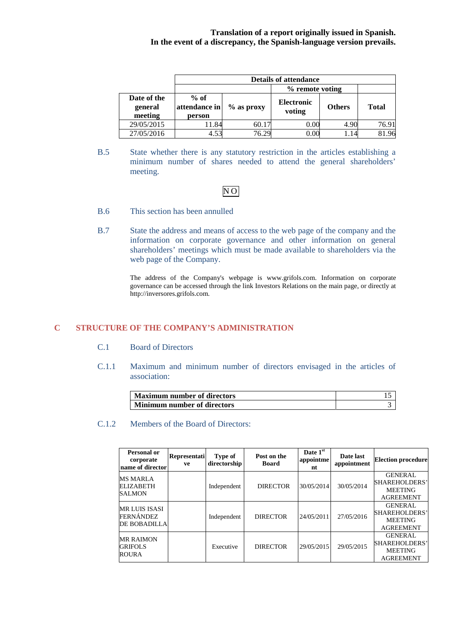|                                   | <b>Details of attendance</b>                       |       |                             |               |              |
|-----------------------------------|----------------------------------------------------|-------|-----------------------------|---------------|--------------|
|                                   | % remote voting                                    |       |                             |               |              |
| Date of the<br>general<br>meeting | $%$ of<br>attendance in<br>$\%$ as proxy<br>person |       | <b>Electronic</b><br>voting | <b>Others</b> | <b>Total</b> |
| 29/05/2015                        | 1.84                                               | 60.17 | $0.00\,$                    | 4.90          | 76.91        |
| 27/05/2016                        | 4.53                                               | 76.29 | $0.00\,$                    |               |              |

B.5 State whether there is any statutory restriction in the articles establishing a minimum number of shares needed to attend the general shareholders' meeting.

## $\overline{NO}$

- B.6 This section has been annulled
- B.7 State the address and means of access to the web page of the company and the information on corporate governance and other information on general shareholders' meetings which must be made available to shareholders via the web page of the Company.

The address of the Company's webpage is www.grifols.com. Information on corporate governance can be accessed through the link Investors Relations on the main page, or directly at http://inversores.grifols.com.

## **C STRUCTURE OF THE COMPANY'S ADMINISTRATION**

## C.1 Board of Directors

C.1.1 Maximum and minimum number of directors envisaged in the articles of association:

| Maximum number of directors |  |
|-----------------------------|--|
| Minimum number of directors |  |

## C.1.2 Members of the Board of Directors:

| <b>Personal or</b><br>corporate<br>name of director             | Representati<br>ve | Type of<br>directorship | Post on the<br>Board | Date 1st<br>appointme<br>nt | Date last<br>appointment | <b>Election procedure</b>                                             |
|-----------------------------------------------------------------|--------------------|-------------------------|----------------------|-----------------------------|--------------------------|-----------------------------------------------------------------------|
| <b>MS MARLA</b><br><b>ELIZABETH</b><br><b>SALMON</b>            |                    | Independent             | <b>DIRECTOR</b>      | 30/05/2014                  | 30/05/2014               | <b>GENERAL</b><br>SHAREHOLDERS'<br><b>MEETING</b><br><b>AGREEMENT</b> |
| <b>MR LUIS ISASI</b><br><b>FERNÁNDEZ</b><br><b>DE BOBADILLA</b> |                    | Independent             | <b>DIRECTOR</b>      | 24/05/2011                  | 27/05/2016               | <b>GENERAL</b><br>SHAREHOLDERS'<br><b>MEETING</b><br><b>AGREEMENT</b> |
| <b>MR RAIMON</b><br><b>GRIFOLS</b><br><b>ROURA</b>              |                    | Executive               | <b>DIRECTOR</b>      | 29/05/2015                  | 29/05/2015               | <b>GENERAL</b><br>SHAREHOLDERS'<br><b>MEETING</b><br><b>AGREEMENT</b> |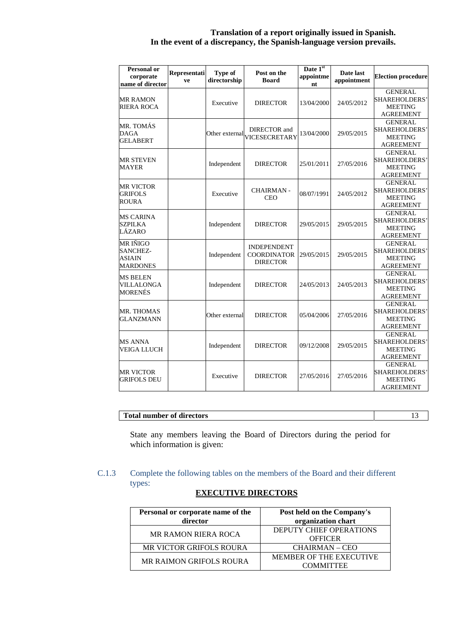| <b>Personal or</b><br>corporate<br>name of director                    | Representati<br>ve | Type of<br>directorship | Post on the<br><b>Board</b>                                 | Date 1st<br>appointme<br>nt | Date last<br>appointment | <b>Election procedure</b>                                                     |
|------------------------------------------------------------------------|--------------------|-------------------------|-------------------------------------------------------------|-----------------------------|--------------------------|-------------------------------------------------------------------------------|
| <b>MR RAMON</b><br><b>RIERA ROCA</b>                                   |                    | Executive               | <b>DIRECTOR</b>                                             | 13/04/2000                  | 24/05/2012               | <b>GENERAL</b><br>SHAREHOLDERS'<br><b>MEETING</b><br><b>AGREEMENT</b>         |
| MR. TOMÁS<br><b>DAGA</b><br><b>GELABERT</b>                            |                    |                         | DIRECTOR and<br>Other external VICESECRETARY                | 13/04/2000                  | 29/05/2015               | <b>GENERAL</b><br>SHAREHOLDERS'<br><b>MEETING</b><br><b>AGREEMENT</b>         |
| <b>MR STEVEN</b><br><b>MAYER</b>                                       |                    | Independent             | <b>DIRECTOR</b>                                             | 25/01/2011                  | 27/05/2016               | <b>GENERAL</b><br><b>SHAREHOLDERS</b> '<br><b>MEETING</b><br><b>AGREEMENT</b> |
| <b>MR VICTOR</b><br><b>GRIFOLS</b><br><b>ROURA</b>                     |                    | Executive               | <b>CHAIRMAN-</b><br>CEO                                     | 08/07/1991                  | 24/05/2012               | <b>GENERAL</b><br><b>SHAREHOLDERS</b><br><b>MEETING</b><br><b>AGREEMENT</b>   |
| <b>MS CARINA</b><br><b>SZPILKA</b><br>LÁZARO                           |                    | Independent             | <b>DIRECTOR</b>                                             | 29/05/2015                  | 29/05/2015               | <b>GENERAL</b><br><b>SHAREHOLDERS</b> '<br><b>MEETING</b><br><b>AGREEMENT</b> |
| <b>MR IÑIGO</b><br><b>SANCHEZ-</b><br><b>ASIAIN</b><br><b>MARDONES</b> |                    | Independent             | <b>INDEPENDENT</b><br><b>COORDINATOR</b><br><b>DIRECTOR</b> | 29/05/2015                  | 29/05/2015               | <b>GENERAL</b><br><b>SHAREHOLDERS</b><br><b>MEETING</b><br><b>AGREEMENT</b>   |
| <b>MS BELEN</b><br>VILLALONGA<br>MORENÉS                               |                    | Independent             | <b>DIRECTOR</b>                                             | 24/05/2013                  | 24/05/2013               | <b>GENERAL</b><br>SHAREHOLDERS'<br><b>MEETING</b><br><b>AGREEMENT</b>         |
| MR. THOMAS<br><b>GLANZMANN</b>                                         |                    | Other external          | <b>DIRECTOR</b>                                             | 05/04/2006                  | 27/05/2016               | <b>GENERAL</b><br><b>SHAREHOLDERS</b> '<br><b>MEETING</b><br><b>AGREEMENT</b> |
| <b>MS ANNA</b><br><b>VEIGA LLUCH</b>                                   |                    | Independent             | <b>DIRECTOR</b>                                             | 09/12/2008                  | 29/05/2015               | <b>GENERAL</b><br><b>SHAREHOLDERS</b><br><b>MEETING</b><br><b>AGREEMENT</b>   |
| <b>MR VICTOR</b><br>GRIFOLS DEU                                        |                    | Executive               | <b>DIRECTOR</b>                                             | 27/05/2016                  | 27/05/2016               | <b>GENERAL</b><br>SHAREHOLDERS'<br><b>MEETING</b><br><b>AGREEMENT</b>         |

## **Total number of directors** 13

State any members leaving the Board of Directors during the period for which information is given:

## C.1.3 Complete the following tables on the members of the Board and their different types:

| Personal or corporate name of the<br>director | Post held on the Company's<br>organization chart |
|-----------------------------------------------|--------------------------------------------------|
| <b>MR RAMON RIERA ROCA</b>                    | DEPUTY CHIEF OPERATIONS<br><b>OFFICER</b>        |
| <b>MR VICTOR GRIFOLS ROURA</b>                | <b>CHAIRMAN – CEO</b>                            |
| <b>MR RAIMON GRIFOLS ROURA</b>                | MEMBER OF THE EXECUTIVE<br>COMMITTEE             |

## **EXECUTIVE DIRECTORS**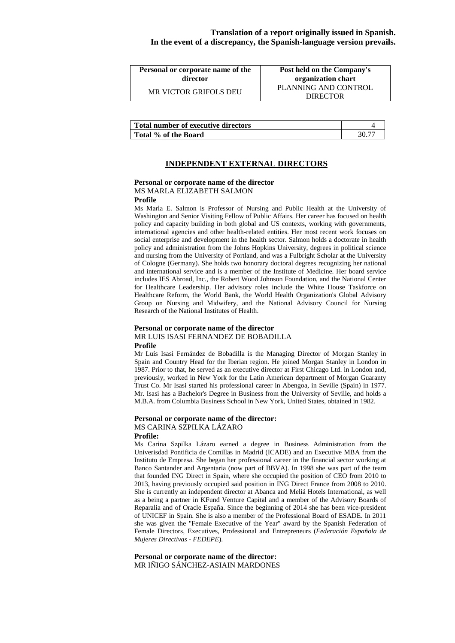| Personal or corporate name of the | Post held on the Company's              |
|-----------------------------------|-----------------------------------------|
| director                          | organization chart                      |
| MR VICTOR GRIFOLS DEU             | PLANNING AND CONTROL<br><b>DIRECTOR</b> |

| Total number of executive directors |  |
|-------------------------------------|--|
| Total % of the Board                |  |

### **INDEPENDENT EXTERNAL DIRECTORS**

## **Personal or corporate name of the director** MS MARLA ELIZABETH SALMON

#### **Profile**

Ms Marla E. Salmon is Professor of Nursing and Public Health at the University of Washington and Senior Visiting Fellow of Public Affairs. Her career has focused on health policy and capacity building in both global and US contexts, working with governments, international agencies and other health-related entities. Her most recent work focuses on social enterprise and development in the health sector. Salmon holds a doctorate in health policy and administration from the Johns Hopkins University, degrees in political science and nursing from the University of Portland, and was a Fulbright Scholar at the University of Cologne (Germany). She holds two honorary doctoral degrees recognizing her national and international service and is a member of the Institute of Medicine. Her board service includes IES Abroad, Inc., the Robert Wood Johnson Foundation, and the National Center for Healthcare Leadership. Her advisory roles include the White House Taskforce on Healthcare Reform, the World Bank, the World Health Organization's Global Advisory Group on Nursing and Midwifery, and the National Advisory Council for Nursing Research of the National Institutes of Health.

#### **Personal or corporate name of the director** MR LUIS ISASI FERNANDEZ DE BOBADILLA **Profile**

Mr Luís Isasi Fernández de Bobadilla is the Managing Director of Morgan Stanley in Spain and Country Head for the Iberian region. He joined Morgan Stanley in London in 1987. Prior to that, he served as an executive director at First Chicago Ltd. in London and, previously, worked in New York for the Latin American department of Morgan Guaranty Trust Co. Mr Isasi started his professional career in Abengoa, in Seville (Spain) in 1977. Mr. Isasi has a Bachelor's Degree in Business from the University of Seville, and holds a M.B.A. from Columbia Business School in New York, United States, obtained in 1982.

#### **Personal or corporate name of the director:**  MS CARINA SZPILKA LÁZARO **Profile:**

Ms Carina Szpilka Lázaro earned a degree in Business Administration from the Univerisdad Pontificia de Comillas in Madrid (ICADE) and an Executive MBA from the Instituto de Empresa. She began her professional career in the financial sector working at Banco Santander and Argentaria (now part of BBVA). In 1998 she was part of the team that founded ING Direct in Spain, where she occupied the position of CEO from 2010 to 2013, having previously occupied said position in ING Direct France from 2008 to 2010. She is currently an independent director at Abanca and Meliá Hotels International, as well as a being a partner in KFund Venture Capital and a member of the Advisory Boards of Reparalia and of Oracle España. Since the beginning of 2014 she has been vice-president of UNICEF in Spain. She is also a member of the Professional Board of ESADE. In 2011 she was given the "Female Executive of the Year" award by the Spanish Federation of Female Directors, Executives, Professional and Entrepreneurs (*Federación Española de Mujeres Directivas - FEDEPE*).

**Personal or corporate name of the director:** MR IÑIGO SÁNCHEZ-ASIAIN MARDONES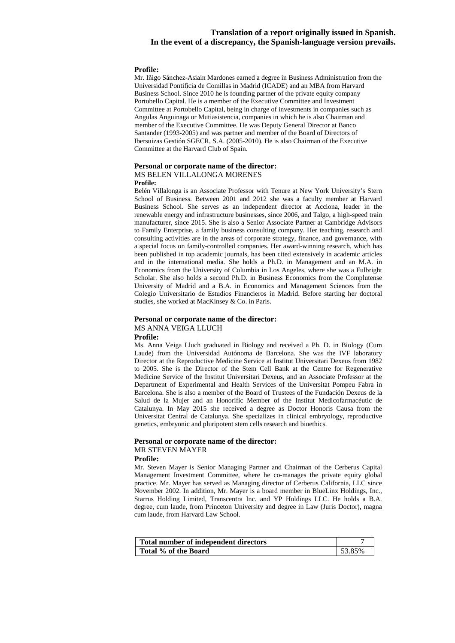#### **Profile:**

Mr. Iñigo Sánchez-Asiain Mardones earned a degree in Business Administration from the Universidad Pontificia de Comillas in Madrid (ICADE) and an MBA from Harvard Business School. Since 2010 he is founding partner of the private equity company Portobello Capital. He is a member of the Executive Committee and Investment Committee at Portobello Capital, being in charge of investments in companies such as Angulas Anguinaga or Mutiasistencia, companies in which he is also Chairman and member of the Executive Committee. He was Deputy General Director at Banco Santander (1993-2005) and was partner and member of the Board of Directors of Ibersuizas Gestión SGECR, S.A. (2005-2010). He is also Chairman of the Executive Committee at the Harvard Club of Spain.

### **Personal or corporate name of the director:**  MS BELEN VILLALONGA MORENES

#### **Profile:**

Belén Villalonga is an Associate Professor with Tenure at New York University's Stern School of Business. Between 2001 and 2012 she was a faculty member at Harvard Business School. She serves as an independent director at Acciona, leader in the renewable energy and infrastructure businesses, since 2006, and Talgo, a high-speed train manufacturer, since 2015. She is also a Senior Associate Partner at Cambridge Advisors to Family Enterprise, a family business consulting company. Her teaching, research and consulting activities are in the areas of corporate strategy, finance, and governance, with a special focus on family-controlled companies. Her award-winning research, which has been published in top academic journals, has been cited extensively in academic articles and in the international media. She holds a Ph.D. in Management and an M.A. in Economics from the University of Columbia in Los Angeles, where she was a Fulbright Scholar. She also holds a second Ph.D. in Business Economics from the Complutense University of Madrid and a B.A. in Economics and Management Sciences from the Colegio Universitario de Estudios Financieros in Madrid. Before starting her doctoral studies, she worked at MacKinsey & Co. in Paris.

## **Personal or corporate name of the director:**  MS ANNA VEIGA LLUCH

#### **Profile:**

Ms. Anna Veiga Lluch graduated in Biology and received a Ph. D. in Biology (Cum Laude) from the Universidad Autónoma de Barcelona. She was the IVF laboratory Director at the Reproductive Medicine Service at Institut Universitari Dexeus from 1982 to 2005. She is the Director of the Stem Cell Bank at the Centre for Regenerative Medicine Service of the Institut Universitari Dexeus, and an Associate Professor at the Department of Experimental and Health Services of the Universitat Pompeu Fabra in Barcelona. She is also a member of the Board of Trustees of the Fundación Dexeus de la Salud de la Mujer and an Honorific Member of the Institut Medicofarmacèutic de Catalunya. In May 2015 she received a degree as Doctor Honoris Causa from the Universitat Central de Catalunya. She specializes in clinical embryology, reproductive genetics, embryonic and pluripotent stem cells research and bioethics.

#### **Personal or corporate name of the director:**  MR STEVEN MAYER

#### **Profile:**

Mr. Steven Mayer is Senior Managing Partner and Chairman of the Cerberus Capital Management Investment Committee, where he co-manages the private equity global practice. Mr. Mayer has served as Managing director of Cerberus California, LLC since November 2002. In addition, Mr. Mayer is a board member in BlueLinx Holdings, Inc., Starrus Holding Limited, Transcentra Inc. and YP Holdings LLC. He holds a B.A. degree, cum laude, from Princeton University and degree in Law (Juris Doctor), magna cum laude, from Harvard Law School.

| Total number of independent directors |        |
|---------------------------------------|--------|
| Total % of the Board                  | 53.85% |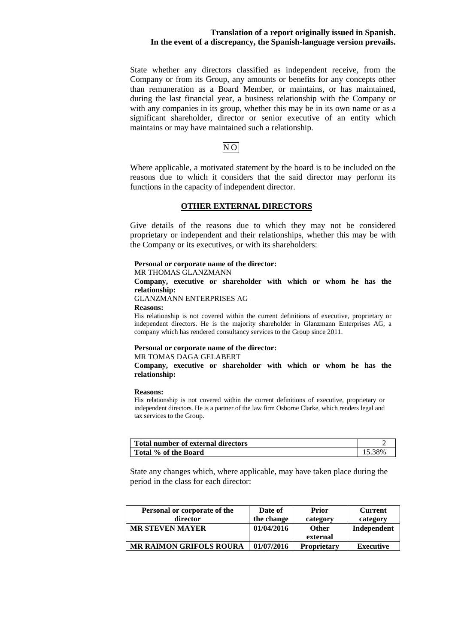State whether any directors classified as independent receive, from the Company or from its Group, any amounts or benefits for any concepts other than remuneration as a Board Member, or maintains, or has maintained, during the last financial year, a business relationship with the Company or with any companies in its group, whether this may be in its own name or as a significant shareholder, director or senior executive of an entity which maintains or may have maintained such a relationship.

## $N<sub>O</sub>$

Where applicable, a motivated statement by the board is to be included on the reasons due to which it considers that the said director may perform its functions in the capacity of independent director.

## **OTHER EXTERNAL DIRECTORS**

Give details of the reasons due to which they may not be considered proprietary or independent and their relationships, whether this may be with the Company or its executives, or with its shareholders:

#### **Personal or corporate name of the director:**

MR THOMAS GLANZMANN

### **Company, executive or shareholder with which or whom he has the relationship:**

GLANZMANN ENTERPRISES AG

#### **Reasons:**

His relationship is not covered within the current definitions of executive, proprietary or independent directors. He is the majority shareholder in Glanzmann Enterprises AG, a company which has rendered consultancy services to the Group since 2011.

## **Personal or corporate name of the director:**

## MR TOMAS DAGA GELABERT

**Company, executive or shareholder with which or whom he has the relationship:** 

#### **Reasons:**

His relationship is not covered within the current definitions of executive, proprietary or independent directors. He is a partner of the law firm Osborne Clarke, which renders legal and tax services to the Group.

| Total number of external directors |        |
|------------------------------------|--------|
| Total % of the Board               | 15.38% |

State any changes which, where applicable, may have taken place during the period in the class for each director:

| Personal or corporate of the<br>director | Date of<br>the change | Prior<br>category  | <b>Current</b><br>category |
|------------------------------------------|-----------------------|--------------------|----------------------------|
| <b>MR STEVEN MAYER</b>                   | 01/04/2016            | <b>Other</b>       | Independent                |
|                                          |                       | external           |                            |
| <b>MR RAIMON GRIFOLS ROURA</b>           | 01/07/2016            | <b>Proprietary</b> | <b>Executive</b>           |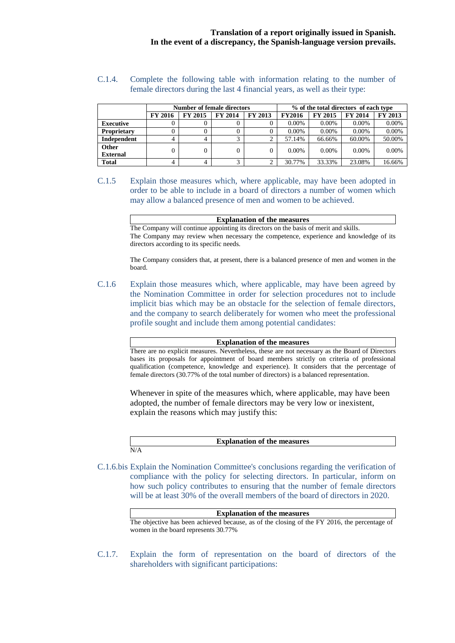## C.1.4. Complete the following table with information relating to the number of female directors during the last 4 financial years, as well as their type:

|                          |                |                | <b>Number of female directors</b> |         |               |                | % of the total directors of each type |          |
|--------------------------|----------------|----------------|-----------------------------------|---------|---------------|----------------|---------------------------------------|----------|
|                          | <b>FY 2016</b> | <b>FY 2015</b> | <b>FY 2014</b>                    | FY 2013 | <b>FY2016</b> | <b>FY 2015</b> | <b>FY 2014</b>                        | FY 2013  |
| <b>Executive</b>         |                | 0              |                                   | O       | $0.00\%$      | $0.00\%$       | $0.00\%$                              | $0.00\%$ |
| <b>Proprietary</b>       |                | 0              | 0                                 | 0       | 0.00%         | $0.00\%$       | $0.00\%$                              | 0.00%    |
| Independent              | 4              | 4              | 3                                 | ↑       | 57.14%        | 66.66%         | 60.00%                                | 50.00%   |
| Other<br><b>External</b> |                | $\Omega$       | 0                                 | 0       | $0.00\%$      | $0.00\%$       | $0.00\%$                              | $0.00\%$ |
| <b>Total</b>             |                | 4              | 3                                 | ◠       | 30.77%        | 33.33%         | 23.08%                                | 16.66%   |

## C.1.5 Explain those measures which, where applicable, may have been adopted in order to be able to include in a board of directors a number of women which may allow a balanced presence of men and women to be achieved.

**Explanation of the measures**  The Company will continue appointing its directors on the basis of merit and skills. The Company may review when necessary the competence, experience and knowledge of its directors according to its specific needs.

The Company considers that, at present, there is a balanced presence of men and women in the board.

C.1.6 Explain those measures which, where applicable, may have been agreed by the Nomination Committee in order for selection procedures not to include implicit bias which may be an obstacle for the selection of female directors, and the company to search deliberately for women who meet the professional profile sought and include them among potential candidates:

**Explanation of the measures**

There are no explicit measures. Nevertheless, these are not necessary as the Board of Directors bases its proposals for appointment of board members strictly on criteria of professional qualification (competence, knowledge and experience). It considers that the percentage of female directors (30.77% of the total number of directors) is a balanced representation.

Whenever in spite of the measures which, where applicable, may have been adopted, the number of female directors may be very low or inexistent, explain the reasons which may justify this:

| <b>Explanation of the measures</b> |
|------------------------------------|
| .                                  |

C.1.6.bis Explain the Nomination Committee's conclusions regarding the verification of compliance with the policy for selecting directors. In particular, inform on how such policy contributes to ensuring that the number of female directors will be at least 30% of the overall members of the board of directors in 2020.

| <b>Explanation of the measures</b>                                                           |
|----------------------------------------------------------------------------------------------|
| The objective has been achieved because, as of the closing of the FY 2016, the percentage of |
| women in the board represents 30.77%                                                         |

C.1.7. Explain the form of representation on the board of directors of the shareholders with significant participations: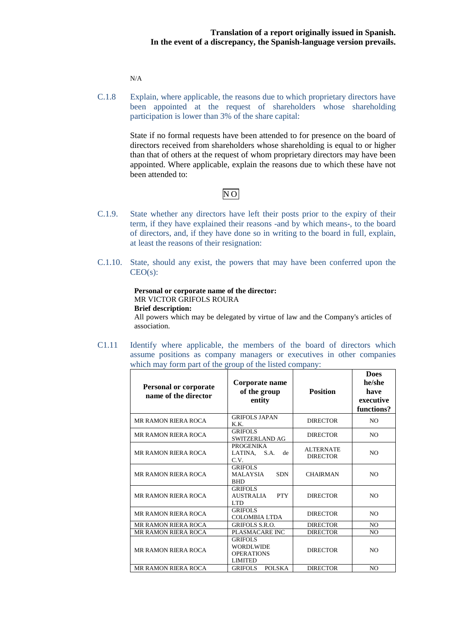N/A

C.1.8 Explain, where applicable, the reasons due to which proprietary directors have been appointed at the request of shareholders whose shareholding participation is lower than 3% of the share capital:

> State if no formal requests have been attended to for presence on the board of directors received from shareholders whose shareholding is equal to or higher than that of others at the request of whom proprietary directors may have been appointed. Where applicable, explain the reasons due to which these have not been attended to:

## NO

- C.1.9. State whether any directors have left their posts prior to the expiry of their term, if they have explained their reasons -and by which means-, to the board of directors, and, if they have done so in writing to the board in full, explain, at least the reasons of their resignation:
- C.1.10. State, should any exist, the powers that may have been conferred upon the  $CEO(s)$ :

#### **Personal or corporate name of the director:**  MR VICTOR GRIFOLS ROURA **Brief description:**

All powers which may be delegated by virtue of law and the Company's articles of association.

C1.11 Identify where applicable, the members of the board of directors which assume positions as company managers or executives in other companies which may form part of the group of the listed company:

| <b>Personal or corporate</b><br>name of the director | Corporate name<br><b>Position</b><br>of the group<br>entity                                  |                                     | <b>Does</b><br>he/she<br>have<br>executive<br>functions? |
|------------------------------------------------------|----------------------------------------------------------------------------------------------|-------------------------------------|----------------------------------------------------------|
| <b>MR RAMON RIERA ROCA</b>                           | <b>GRIFOLS JAPAN</b><br>K.K.                                                                 | <b>DIRECTOR</b>                     | N <sub>O</sub>                                           |
| <b>MR RAMON RIERA ROCA</b>                           | <b>GRIFOLS</b><br>SWITZERLAND AG                                                             | <b>DIRECTOR</b>                     | NO.                                                      |
| <b>MR RAMON RIERA ROCA</b>                           | <b>PROGENIKA</b><br>LATINA, S.A.<br>de<br>C.V.                                               | <b>ALTERNATE</b><br><b>DIRECTOR</b> | N <sub>O</sub>                                           |
| <b>MR RAMON RIERA ROCA</b>                           | <b>GRIFOLS</b><br><b>MALAYSIA</b><br><b>SDN</b><br><b>BHD</b>                                | <b>CHAIRMAN</b>                     | N <sub>O</sub>                                           |
| <b>MR RAMON RIERA ROCA</b>                           | <b>GRIFOLS</b><br><b>PTY</b><br><b>AUSTRALIA</b><br>LTD.                                     | <b>DIRECTOR</b>                     | N <sub>O</sub>                                           |
| <b>MR RAMON RIERA ROCA</b>                           | <b>GRIFOLS</b><br><b>COLOMBIA LTDA</b>                                                       | <b>DIRECTOR</b>                     | NO.                                                      |
| <b>MR RAMON RIERA ROCA</b>                           | <b>GRIFOLS S.R.O.</b>                                                                        | <b>DIRECTOR</b>                     |                                                          |
| <b>MR RAMON RIERA ROCA</b>                           | PLASMACARE INC<br><b>DIRECTOR</b>                                                            |                                     | NO.                                                      |
| <b>MR RAMON RIERA ROCA</b>                           | <b>GRIFOLS</b><br><b>WORDLWIDE</b><br><b>DIRECTOR</b><br><b>OPERATIONS</b><br><b>LIMITED</b> |                                     | N <sub>O</sub>                                           |
| MR RAMON RIERA ROCA                                  | POLSKA<br><b>GRIFOLS</b>                                                                     | <b>DIRECTOR</b>                     | N <sub>O</sub>                                           |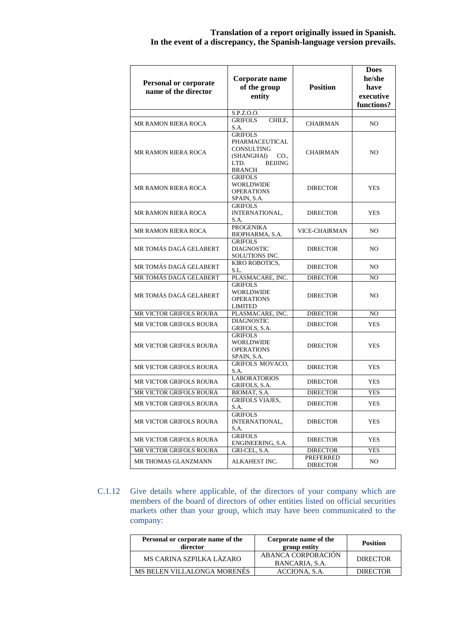| <b>Personal or corporate</b><br>name of the director | Corporate name<br>of the group<br>entity<br>S.P.Z.O.O.                                                          | <b>Position</b>                     | <b>Does</b><br>he/she<br>have<br>executive<br>functions? |  |
|------------------------------------------------------|-----------------------------------------------------------------------------------------------------------------|-------------------------------------|----------------------------------------------------------|--|
|                                                      | <b>GRIFOLS</b><br>CHILE,                                                                                        |                                     |                                                          |  |
| MR RAMON RIERA ROCA                                  | S.A.                                                                                                            | CHAIRMAN                            | NO.                                                      |  |
| <b>MR RAMON RIERA ROCA</b>                           | <b>GRIFOLS</b><br>PHARMACEUTICAL<br><b>CONSULTING</b><br>(SHANGHAI)<br>CO.,<br>LTD.<br><b>BEIJING</b><br>BRANCH | CHAIRMAN                            | NO.                                                      |  |
| <b>MR RAMON RIERA ROCA</b>                           | <b>GRIFOLS</b><br><b>WORLDWIDE</b><br><b>OPERATIONS</b><br>SPAIN, S.A.                                          | <b>DIRECTOR</b>                     | <b>YES</b>                                               |  |
| <b>MR RAMON RIERA ROCA</b>                           | <b>GRIFOLS</b><br>INTERNATIONAL,<br>S.A.                                                                        | <b>DIRECTOR</b>                     | <b>YES</b>                                               |  |
| MR RAMON RIERA ROCA                                  | <b>PROGENIKA</b><br>BIOPHARMA, S.A.                                                                             | <b>VICE-CHAIRMAN</b>                | NO.                                                      |  |
| MR TOMÁS DAGÁ GELABERT                               | <b>GRIFOLS</b><br><b>DIAGNOSTIC</b><br>SOLUTIONS INC.                                                           | <b>DIRECTOR</b>                     | NO.                                                      |  |
| MR TOMÁS DAGÁ GELABERT                               | KIRO ROBOTICS,<br>S.L.                                                                                          | <b>DIRECTOR</b>                     | NO.                                                      |  |
| MR TOMÁS DAGÁ GELABERT                               | PLASMACARE, INC.                                                                                                | <b>DIRECTOR</b>                     | NO                                                       |  |
| MR TOMÁS DAGÁ GELABERT                               | <b>GRIFOLS</b><br>WORLDWIDE<br><b>OPERATIONS</b><br><b>LIMITED</b>                                              | <b>DIRECTOR</b>                     | NO.                                                      |  |
| MR VICTOR GRIFOLS ROURA                              | PLASMACARE, INC.                                                                                                | <b>DIRECTOR</b>                     | NO.                                                      |  |
| MR VICTOR GRIFOLS ROURA                              | <b>DIAGNOSTIC</b><br>GRIFOLS, S.A.                                                                              | <b>DIRECTOR</b>                     | <b>YES</b>                                               |  |
| <b>MR VICTOR GRIFOLS ROURA</b>                       | <b>GRIFOLS</b><br><b>WORLDWIDE</b><br><b>OPERATIONS</b><br>SPAIN, S.A.                                          | <b>DIRECTOR</b>                     | <b>YES</b>                                               |  |
| MR VICTOR GRIFOLS ROURA                              | <b>GRIFOLS MOVACO,</b><br>S.A.                                                                                  | <b>DIRECTOR</b>                     | <b>YES</b>                                               |  |
| MR VICTOR GRIFOLS ROURA                              | <b>LABORATORIOS</b><br>GRIFOLS, S.A.                                                                            | <b>DIRECTOR</b>                     | <b>YES</b>                                               |  |
| MR VICTOR GRIFOLS ROURA                              | BIOMAT, S.A.                                                                                                    | <b>DIRECTOR</b>                     | <b>YES</b>                                               |  |
| MR VICTOR GRIFOLS ROURA                              | <b>GRIFOLS VIAJES,</b><br>S.A.                                                                                  | <b>DIRECTOR</b>                     | <b>YES</b>                                               |  |
| MR VICTOR GRIFOLS ROURA                              | <b>GRIFOLS</b><br>INTERNATIONAL,<br>S.A.                                                                        | <b>DIRECTOR</b>                     | <b>YES</b>                                               |  |
| MR VICTOR GRIFOLS ROURA                              | <b>GRIFOLS</b><br>ENGINEERING, S.A.                                                                             | <b>DIRECTOR</b>                     | <b>YES</b>                                               |  |
| <b>MR VICTOR GRIFOLS ROURA</b>                       | GRI-CEL, S.A.                                                                                                   | <b>DIRECTOR</b>                     | <b>YES</b>                                               |  |
| MR THOMAS GLANZMANN                                  | ALKAHEST INC.                                                                                                   | <b>PREFERRED</b><br><b>DIRECTOR</b> | NO.                                                      |  |

C.1.12 Give details where applicable, of the directors of your company which are members of the board of directors of other entities listed on official securities markets other than your group, which may have been communicated to the company:

| Personal or corporate name of the<br>director | Corporate name of the<br>group entity | <b>Position</b> |
|-----------------------------------------------|---------------------------------------|-----------------|
| MS CARINA SZPILKA LÁZARO                      | ABANCA CORPORACIÓN<br>BANCARIA, S.A.  | <b>DIRECTOR</b> |
| MS BELEN VILLALONGA MORENÉS                   | ACCIONA, S.A.                         | <b>DIRECTOR</b> |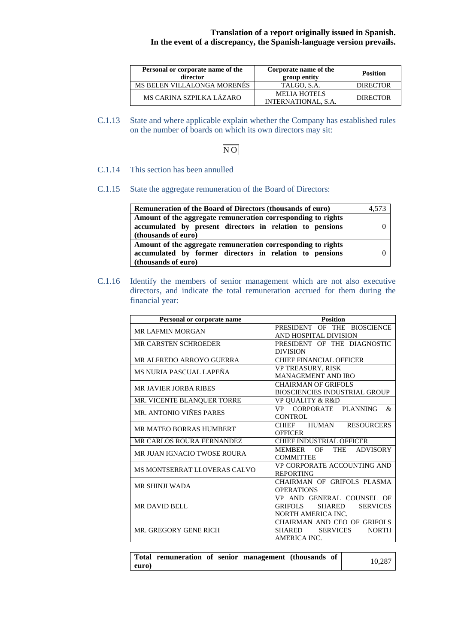| Personal or corporate name of the<br>director | Corporate name of the<br>group entity             | <b>Position</b> |
|-----------------------------------------------|---------------------------------------------------|-----------------|
| MS BELEN VILLALONGA MORENÉS                   | TALGO, S.A.                                       | <b>DIRECTOR</b> |
| MS CARINA SZPILKA LÁZARO                      | <b>MELIA HOTELS</b><br><b>INTERNATIONAL, S.A.</b> | <b>DIRECTOR</b> |

C.1.13 State and where applicable explain whether the Company has established rules on the number of boards on which its own directors may sit:

## NO

## C.1.14 This section has been annulled

C.1.15 State the aggregate remuneration of the Board of Directors:

| <b>Remuneration of the Board of Directors (thousands of euro)</b>                                                                               | 4,573 |
|-------------------------------------------------------------------------------------------------------------------------------------------------|-------|
| Amount of the aggregate remuneration corresponding to rights<br>accumulated by present directors in relation to pensions<br>(thousands of euro) |       |
| Amount of the aggregate remuneration corresponding to rights<br>accumulated by former directors in relation to pensions<br>(thousands of euro)  |       |

C.1.16 Identify the members of senior management which are not also executive directors, and indicate the total remuneration accrued for them during the financial year:

| Personal or corporate name       | <b>Position</b>                                              |
|----------------------------------|--------------------------------------------------------------|
| <b>MR LAFMIN MORGAN</b>          | PRESIDENT OF THE BIOSCIENCE                                  |
|                                  | AND HOSPITAL DIVISION                                        |
| <b>MR CARSTEN SCHROEDER</b>      | PRESIDENT OF THE DIAGNOSTIC                                  |
|                                  | <b>DIVISION</b>                                              |
| MR ALFREDO ARROYO GUERRA         | <b>CHIEF FINANCIAL OFFICER</b>                               |
| MS NURIA PASCUAL LAPEÑA          | <b>VP TREASURY, RISK</b>                                     |
|                                  | <b>MANAGEMENT AND IRO</b>                                    |
| <b>MR JAVIER JORBA RIBES</b>     | <b>CHAIRMAN OF GRIFOLS</b>                                   |
|                                  | <b>BIOSCIENCIES INDUSTRIAL GROUP</b>                         |
| MR. VICENTE BLANQUER TORRE       | <b>VP OUALITY &amp; R&amp;D</b>                              |
| MR. ANTONIO VIÑES PARES          | CORPORATE<br>PLANNING<br>$\mathcal{R}_{\mathcal{L}}$<br>VP — |
|                                  | <b>CONTROL</b>                                               |
| MR MATEO BORRAS HUMBERT          | HUMAN<br><b>RESOURCERS</b><br><b>CHIEF</b>                   |
|                                  | <b>OFFICER</b>                                               |
| <b>MR CARLOS ROURA FERNANDEZ</b> | <b>CHIEF INDUSTRIAL OFFICER</b>                              |
| MR JUAN IGNACIO TWOSE ROURA      | <b>THE</b><br><b>ADVISORY</b><br>MEMBER<br>OF                |
|                                  | <b>COMMITTEE</b>                                             |
| MS MONTSERRAT LLOVERAS CALVO     | VP CORPORATE ACCOUNTING AND                                  |
|                                  | <b>REPORTING</b>                                             |
| <b>MR SHINJI WADA</b>            | CHAIRMAN OF GRIFOLS PLASMA                                   |
|                                  | <b>OPERATIONS</b>                                            |
|                                  | VP AND GENERAL COUNSEL OF                                    |
| <b>MR DAVID BELL</b>             | <b>GRIFOLS</b><br><b>SHARED</b><br><b>SERVICES</b>           |
|                                  | NORTH AMERICA INC.                                           |
|                                  | CHAIRMAN AND CEO OF GRIFOLS                                  |
| MR. GREGORY GENE RICH            | <b>SERVICES</b><br><b>SHARED</b><br><b>NORTH</b>             |
|                                  | AMERICA INC.                                                 |
|                                  |                                                              |

|       | Total remuneration of senior management (thousands of |  |  | 10,287 |
|-------|-------------------------------------------------------|--|--|--------|
| euro) |                                                       |  |  |        |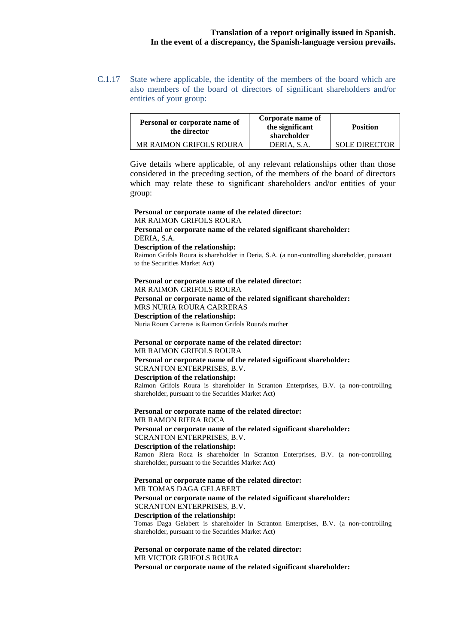C.1.17 State where applicable, the identity of the members of the board which are also members of the board of directors of significant shareholders and/or entities of your group:

| Personal or corporate name of<br>the director | Corporate name of<br>the significant<br>shareholder | <b>Position</b>      |
|-----------------------------------------------|-----------------------------------------------------|----------------------|
| MR RAIMON GRIFOLS ROURA                       | DERIA, S.A.                                         | <b>SOLE DIRECTOR</b> |

Give details where applicable, of any relevant relationships other than those considered in the preceding section, of the members of the board of directors which may relate these to significant shareholders and/or entities of your group:

**Personal or corporate name of the related director:** MR RAIMON GRIFOLS ROURA **Personal or corporate name of the related significant shareholder:** DERIA, S.A. **Description of the relationship:** Raimon Grifols Roura is shareholder in Deria, S.A. (a non-controlling shareholder, pursuant to the Securities Market Act) **Personal or corporate name of the related director:** MR RAIMON GRIFOLS ROURA **Personal or corporate name of the related significant shareholder:** MRS NURIA ROURA CARRERAS **Description of the relationship:** Nuria Roura Carreras is Raimon Grifols Roura's mother **Personal or corporate name of the related director:** MR RAIMON GRIFOLS ROURA **Personal or corporate name of the related significant shareholder:** SCRANTON ENTERPRISES, B.V. **Description of the relationship:** Raimon Grifols Roura is shareholder in Scranton Enterprises, B.V. (a non-controlling shareholder, pursuant to the Securities Market Act) **Personal or corporate name of the related director:** MR RAMON RIERA ROCA **Personal or corporate name of the related significant shareholder:** SCRANTON ENTERPRISES, B.V.

**Description of the relationship:**

Ramon Riera Roca is shareholder in Scranton Enterprises, B.V. (a non-controlling shareholder, pursuant to the Securities Market Act)

**Personal or corporate name of the related director:**  MR TOMAS DAGA GELABERT **Personal or corporate name of the related significant shareholder:**  SCRANTON ENTERPRISES, B.V. **Description of the relationship:**  Tomas Daga Gelabert is shareholder in Scranton Enterprises, B.V. (a non-controlling shareholder, pursuant to the Securities Market Act)

**Personal or corporate name of the related director:**  MR VICTOR GRIFOLS ROURA **Personal or corporate name of the related significant shareholder:**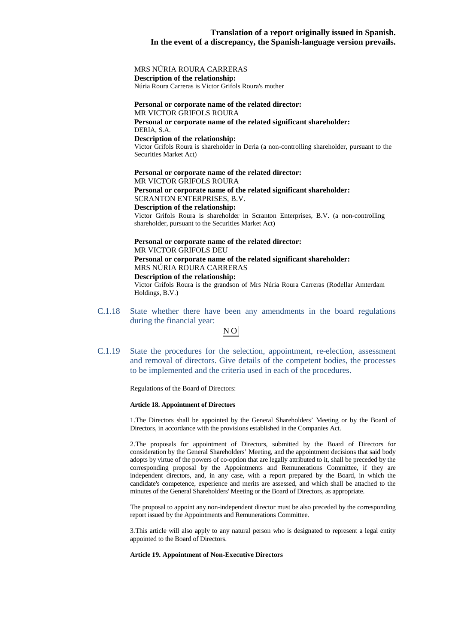### MRS NÚRIA ROURA CARRERAS

**Description of the relationship:** 

Núria Roura Carreras is Victor Grifols Roura's mother

## **Personal or corporate name of the related director:**

MR VICTOR GRIFOLS ROURA **Personal or corporate name of the related significant shareholder:** DERIA, S.A. **Description of the relationship:** 

Victor Grifols Roura is shareholder in Deria (a non-controlling shareholder, pursuant to the Securities Market Act)

**Personal or corporate name of the related director:**  MR VICTOR GRIFOLS ROURA **Personal or corporate name of the related significant shareholder:**  SCRANTON ENTERPRISES, B.V. **Description of the relationship:**

Victor Grifols Roura is shareholder in Scranton Enterprises, B.V. (a non-controlling shareholder, pursuant to the Securities Market Act)

## **Personal or corporate name of the related director:**  MR VICTOR GRIFOLS DEU **Personal or corporate name of the related significant shareholder:**

MRS NÚRIA ROURA CARRERAS

#### **Description of the relationship:**

Victor Grifols Roura is the grandson of Mrs Núria Roura Carreras (Rodellar Amterdam Holdings, B.V.)

C.1.18 State whether there have been any amendments in the board regulations during the financial year:



C.1.19 State the procedures for the selection, appointment, re-election, assessment and removal of directors. Give details of the competent bodies, the processes to be implemented and the criteria used in each of the procedures.

Regulations of the Board of Directors:

#### **Article 18. Appointment of Directors**

1. The Directors shall be appointed by the General Shareholders' Meeting or by the Board of Directors, in accordance with the provisions established in the Companies Act.

2. The proposals for appointment of Directors, submitted by the Board of Directors for consideration by the General Shareholders' Meeting, and the appointment decisions that said body adopts by virtue of the powers of co-option that are legally attributed to it, shall be preceded by the corresponding proposal by the Appointments and Remunerations Committee, if they are independent directors, and, in any case, with a report prepared by the Board, in which the candidate's competence, experience and merits are assessed, and which shall be attached to the minutes of the General Shareholders' Meeting or the Board of Directors, as appropriate.

The proposal to appoint any non-independent director must be also preceded by the corresponding report issued by the Appointments and Remunerations Committee.

3. This article will also apply to any natural person who is designated to represent a legal entity appointed to the Board of Directors.

#### **Article 19. Appointment of Non-Executive Directors**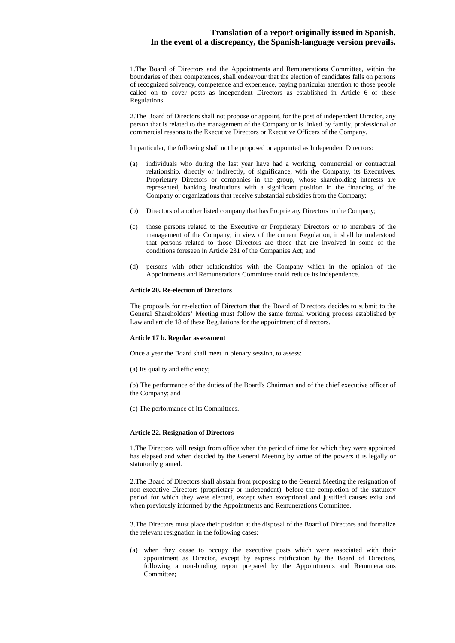1. The Board of Directors and the Appointments and Remunerations Committee, within the boundaries of their competences, shall endeavour that the election of candidates falls on persons of recognized solvency, competence and experience, paying particular attention to those people called on to cover posts as independent Directors as established in Article 6 of these Regulations.

2. The Board of Directors shall not propose or appoint, for the post of independent Director, any person that is related to the management of the Company or is linked by family, professional or commercial reasons to the Executive Directors or Executive Officers of the Company.

In particular, the following shall not be proposed or appointed as Independent Directors:

- (a) individuals who during the last year have had a working, commercial or contractual relationship, directly or indirectly, of significance, with the Company, its Executives, Proprietary Directors or companies in the group, whose shareholding interests are represented, banking institutions with a significant position in the financing of the Company or organizations that receive substantial subsidies from the Company;
- (b) Directors of another listed company that has Proprietary Directors in the Company;
- (c) those persons related to the Executive or Proprietary Directors or to members of the management of the Company; in view of the current Regulation, it shall be understood that persons related to those Directors are those that are involved in some of the conditions foreseen in Article 231 of the Companies Act; and
- (d) persons with other relationships with the Company which in the opinion of the Appointments and Remunerations Committee could reduce its independence.

#### **Article 20. Re-election of Directors**

The proposals for re-election of Directors that the Board of Directors decides to submit to the General Shareholders' Meeting must follow the same formal working process established by Law and article 18 of these Regulations for the appointment of directors.

#### **Article 17 b. Regular assessment**

Once a year the Board shall meet in plenary session, to assess:

(a) Its quality and efficiency;

(b) The performance of the duties of the Board's Chairman and of the chief executive officer of the Company; and

(c) The performance of its Committees.

#### **Article 22. Resignation of Directors**

1. The Directors will resign from office when the period of time for which they were appointed has elapsed and when decided by the General Meeting by virtue of the powers it is legally or statutorily granted.

2. The Board of Directors shall abstain from proposing to the General Meeting the resignation of non-executive Directors (proprietary or independent), before the completion of the statutory period for which they were elected, except when exceptional and justified causes exist and when previously informed by the Appointments and Remunerations Committee.

3.The Directors must place their position at the disposal of the Board of Directors and formalize the relevant resignation in the following cases:

(a) when they cease to occupy the executive posts which were associated with their appointment as Director, except by express ratification by the Board of Directors, following a non-binding report prepared by the Appointments and Remunerations Committee;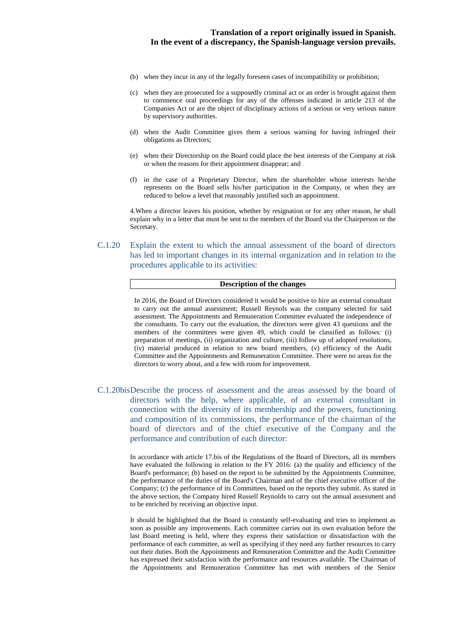- (b) when they incur in any of the legally foreseen cases of incompatibility or prohibition;
- (c) when they are prosecuted for a supposedly criminal act or an order is brought against them to commence oral proceedings for any of the offenses indicated in article 213 of the Companies Act or are the object of disciplinary actions of a serious or very serious nature by supervisory authorities.
- (d) when the Audit Committee gives them a serious warning for having infringed their obligations as Directors;
- (e) when their Directorship on the Board could place the best interests of the Company at risk or when the reasons for their appointment disappear; and
- (f) in the case of a Proprietary Director, when the shareholder whose interests he/she represents on the Board sells his/her participation in the Company, or when they are reduced to below a level that reasonably justified such an appointment.

4. When a director leaves his position, whether by resignation or for any other reason, he shall explain why in a letter that must be sent to the members of the Board via the Chairperson or the Secretary.

C.1.20 Explain the extent to which the annual assessment of the board of directors has led to important changes in its internal organization and in relation to the procedures applicable to its activities:

#### **Description of the changes**

In 2016, the Board of Directors considered it would be positive to hire an external consultant to carry out the annual assessment; Russell Reynols was the company selected for said assessment. The Appointments and Remuneration Committee evaluated the independence of the consultants. To carry out the evaluation, the directors were given 43 questions and the members of the committees were given 49, which could be classified as follows: (i) preparation of meetings, (ii) organization and culture, (iii) follow up of adopted resolutions, (iv) material produced in relation to new board members, (v) efficiency of the Audit Committee and the Appointments and Remuneration Committee. There were no areas for the directors to worry about, and a few with room for improvement.

C.1.20bis Describe the process of assessment and the areas assessed by the board of directors with the help, where applicable, of an external consultant in connection with the diversity of its membership and the powers, functioning and composition of its commissions, the performance of the chairman of the board of directors and of the chief executive of the Company and the performance and contribution of each director:

> In accordance with article 17.bis of the Regulations of the Board of Directors, all its members have evaluated the following in relation to the FY 2016: (a) the quality and efficiency of the Board's performance; (b) based on the report to be submitted by the Appointments Committee, the performance of the duties of the Board's Chairman and of the chief executive officer of the Company; (c) the performance of its Committees, based on the reports they submit. As stated in the above section, the Company hired Russell Reynolds to carry out the annual assessment and to be enriched by receiving an objective input.

> It should be highlighted that the Board is constantly self-evaluating and tries to implement as soon as possible any improvements. Each committee carries out its own evaluation before the last Board meeting is held, where they express their satisfaction or dissatisfaction with the performance of each committee, as well as specifying if they need any further resources to carry out their duties. Both the Appointments and Remuneration Committee and the Audit Committee has expressed their satisfaction with the performance and resources available. The Chairman of the Appointments and Remuneration Committee has met with members of the Senior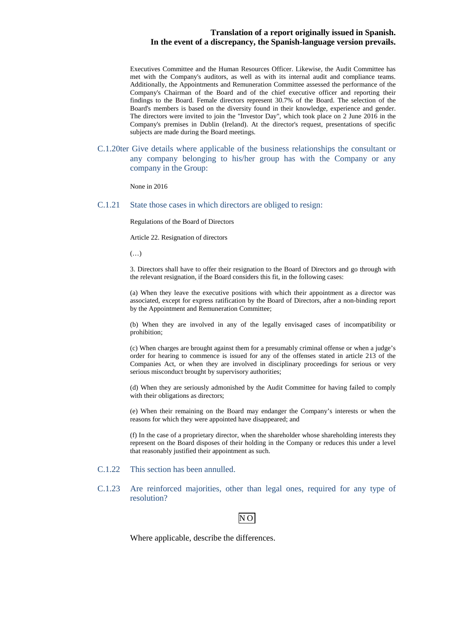Executives Committee and the Human Resources Officer. Likewise, the Audit Committee has met with the Company's auditors, as well as with its internal audit and compliance teams. Additionally, the Appointments and Remuneration Committee assessed the performance of the Company's Chairman of the Board and of the chief executive officer and reporting their findings to the Board. Female directors represent 30.7% of the Board. The selection of the Board's members is based on the diversity found in their knowledge, experience and gender. The directors were invited to join the "Investor Day", which took place on 2 June 2016 in the Company's premises in Dublin (Ireland). At the director's request, presentations of specific subjects are made during the Board meetings.

C.1.20ter Give details where applicable of the business relationships the consultant or any company belonging to his/her group has with the Company or any company in the Group:

None in 2016

C.1.21 State those cases in which directors are obliged to resign:

Regulations of the Board of Directors

Article 22. Resignation of directors

 $(\ldots)$ 

3. Directors shall have to offer their resignation to the Board of Directors and go through with the relevant resignation, if the Board considers this fit, in the following cases:

(a) When they leave the executive positions with which their appointment as a director was associated, except for express ratification by the Board of Directors, after a non-binding report by the Appointment and Remuneration Committee;

(b) When they are involved in any of the legally envisaged cases of incompatibility or prohibition;

(c) When charges are brought against them for a presumably criminal offense or when a judge's order for hearing to commence is issued for any of the offenses stated in article 213 of the Companies Act, or when they are involved in disciplinary proceedings for serious or very serious misconduct brought by supervisory authorities;

(d) When they are seriously admonished by the Audit Committee for having failed to comply with their obligations as directors;

(e) When their remaining on the Board may endanger the Company's interests or when the reasons for which they were appointed have disappeared; and

(f) In the case of a proprietary director, when the shareholder whose shareholding interests they represent on the Board disposes of their holding in the Company or reduces this under a level that reasonably justified their appointment as such.

- C.1.22 This section has been annulled.
- C.1.23 Are reinforced majorities, other than legal ones, required for any type of resolution?



Where applicable, describe the differences.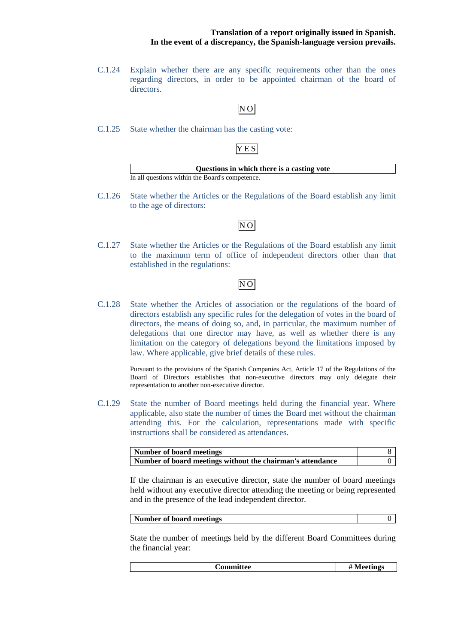C.1.24 Explain whether there are any specific requirements other than the ones regarding directors, in order to be appointed chairman of the board of directors.

## $N$ O

C.1.25 State whether the chairman has the casting vote:

## YES

| Questions in which there is a casting vote      |
|-------------------------------------------------|
| In all questions within the Board's competence. |

C.1.26 State whether the Articles or the Regulations of the Board establish any limit to the age of directors:

# NO

C.1.27 State whether the Articles or the Regulations of the Board establish any limit to the maximum term of office of independent directors other than that established in the regulations:

## NO

C.1.28 State whether the Articles of association or the regulations of the board of directors establish any specific rules for the delegation of votes in the board of directors, the means of doing so, and, in particular, the maximum number of delegations that one director may have, as well as whether there is any limitation on the category of delegations beyond the limitations imposed by law. Where applicable, give brief details of these rules.

> Pursuant to the provisions of the Spanish Companies Act, Article 17 of the Regulations of the Board of Directors establishes that non-executive directors may only delegate their representation to another non-executive director.

C.1.29 State the number of Board meetings held during the financial year. Where applicable, also state the number of times the Board met without the chairman attending this. For the calculation, representations made with specific instructions shall be considered as attendances.

| Number of board meetings                                   |  |
|------------------------------------------------------------|--|
| Number of board meetings without the chairman's attendance |  |

If the chairman is an executive director, state the number of board meetings held without any executive director attending the meeting or being represented and in the presence of the lead independent director.

|--|

State the number of meetings held by the different Board Committees during the financial year:

**Committee # Meetings**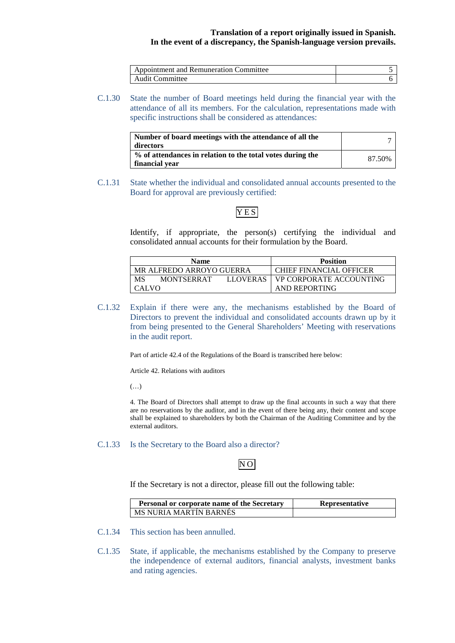| Appointment and Remuneration Committee |  |
|----------------------------------------|--|
| <b>Audit Committee</b>                 |  |

C.1.30 State the number of Board meetings held during the financial year with the attendance of all its members. For the calculation, representations made with specific instructions shall be considered as attendances:

| Number of board meetings with the attendance of all the<br>directors         |        |
|------------------------------------------------------------------------------|--------|
| % of attendances in relation to the total votes during the<br>financial year | 87.50% |

C.1.31 State whether the individual and consolidated annual accounts presented to the Board for approval are previously certified:

## YES

Identify, if appropriate, the person(s) certifying the individual and consolidated annual accounts for their formulation by the Board.

| <b>Name</b>                                | <b>Position</b>                |
|--------------------------------------------|--------------------------------|
| MR ALFREDO ARROYO GUERRA                   | CHIEF FINANCIAL OFFICER        |
| MS<br><b>MONTSERRAT</b><br><b>LLOVERAS</b> | <b>VP CORPORATE ACCOUNTING</b> |
| <b>CALVO</b>                               | AND REPORTING                  |

C.1.32 Explain if there were any, the mechanisms established by the Board of Directors to prevent the individual and consolidated accounts drawn up by it from being presented to the General Shareholders' Meeting with reservations in the audit report.

Part of article 42.4 of the Regulations of the Board is transcribed here below:

Article 42. Relations with auditors

 $(\ldots)$ 

4. The Board of Directors shall attempt to draw up the final accounts in such a way that there are no reservations by the auditor, and in the event of there being any, their content and scope shall be explained to shareholders by both the Chairman of the Auditing Committee and by the external auditors.

### C.1.33 Is the Secretary to the Board also a director?

## NO

If the Secretary is not a director, please fill out the following table:

| Personal or corporate name of the Secretary | <b>Representative</b> |
|---------------------------------------------|-----------------------|
| MS NURIA MARTIN BARNES                      |                       |

- C.1.34 This section has been annulled.
- C.1.35 State, if applicable, the mechanisms established by the Company to preserve the independence of external auditors, financial analysts, investment banks and rating agencies.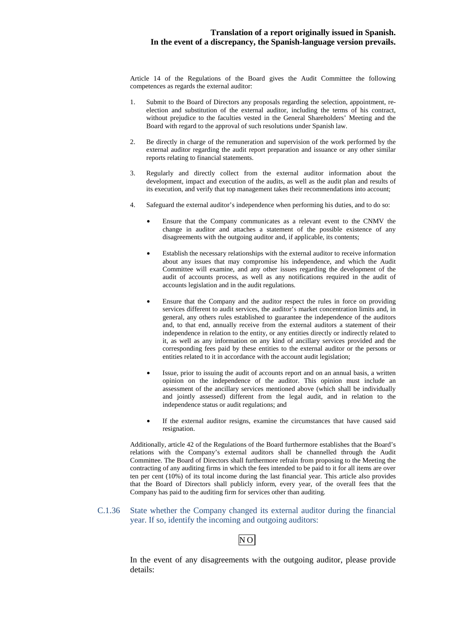Article 14 of the Regulations of the Board gives the Audit Committee the following competences as regards the external auditor:

- 1. Submit to the Board of Directors any proposals regarding the selection, appointment, reelection and substitution of the external auditor, including the terms of his contract, without prejudice to the faculties vested in the General Shareholders' Meeting and the Board with regard to the approval of such resolutions under Spanish law.
- 2. Be directly in charge of the remuneration and supervision of the work performed by the external auditor regarding the audit report preparation and issuance or any other similar reports relating to financial statements.
- 3. Regularly and directly collect from the external auditor information about the development, impact and execution of the audits, as well as the audit plan and results of its execution, and verify that top management takes their recommendations into account;
- 4. Safeguard the external auditor's independence when performing his duties, and to do so:
	- Ensure that the Company communicates as a relevant event to the CNMV the change in auditor and attaches a statement of the possible existence of any disagreements with the outgoing auditor and, if applicable, its contents;
	- Establish the necessary relationships with the external auditor to receive information about any issues that may compromise his independence, and which the Audit Committee will examine, and any other issues regarding the development of the audit of accounts process, as well as any notifications required in the audit of accounts legislation and in the audit regulations.
	- Ensure that the Company and the auditor respect the rules in force on providing services different to audit services, the auditor's market concentration limits and, in general, any others rules established to guarantee the independence of the auditors and, to that end, annually receive from the external auditors a statement of their independence in relation to the entity, or any entities directly or indirectly related to it, as well as any information on any kind of ancillary services provided and the corresponding fees paid by these entities to the external auditor or the persons or entities related to it in accordance with the account audit legislation;
	- Issue, prior to issuing the audit of accounts report and on an annual basis, a written opinion on the independence of the auditor. This opinion must include an assessment of the ancillary services mentioned above (which shall be individually and jointly assessed) different from the legal audit, and in relation to the independence status or audit regulations; and
	- If the external auditor resigns, examine the circumstances that have caused said resignation.

Additionally, article 42 of the Regulations of the Board furthermore establishes that the Board's relations with the Company's external auditors shall be channelled through the Audit Committee. The Board of Directors shall furthermore refrain from proposing to the Meeting the contracting of any auditing firms in which the fees intended to be paid to it for all items are over ten per cent (10%) of its total income during the last financial year. This article also provides that the Board of Directors shall publicly inform, every year, of the overall fees that the Company has paid to the auditing firm for services other than auditing.

## C.1.36 State whether the Company changed its external auditor during the financial year. If so, identify the incoming and outgoing auditors:

## NO

In the event of any disagreements with the outgoing auditor, please provide details: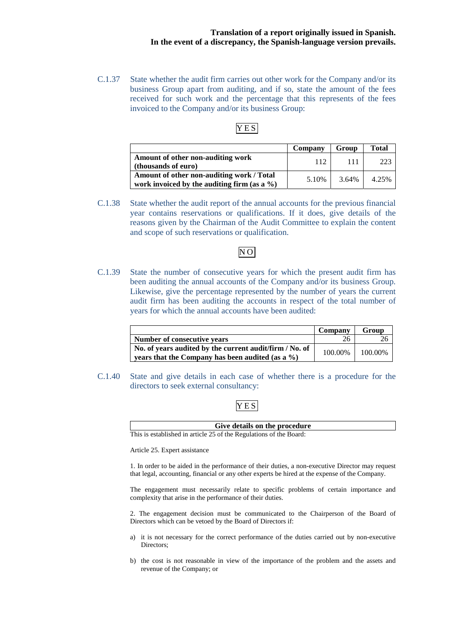C.1.37 State whether the audit firm carries out other work for the Company and/or its business Group apart from auditing, and if so, state the amount of the fees received for such work and the percentage that this represents of the fees invoiced to the Company and/or its business Group:

## YES

|                                                                                              | Company | Group | <b>Total</b> |
|----------------------------------------------------------------------------------------------|---------|-------|--------------|
| Amount of other non-auditing work<br>(thousands of euro)                                     | 112     | 111   | 223          |
| Amount of other non-auditing work / Total<br>work invoiced by the auditing firm (as a $\%$ ) | 5.10%   | 3.64% | 4.25%        |

C.1.38 State whether the audit report of the annual accounts for the previous financial year contains reservations or qualifications. If it does, give details of the reasons given by the Chairman of the Audit Committee to explain the content and scope of such reservations or qualification.

## NO

C.1.39 State the number of consecutive years for which the present audit firm has been auditing the annual accounts of the Company and/or its business Group. Likewise, give the percentage represented by the number of years the current audit firm has been auditing the accounts in respect of the total number of years for which the annual accounts have been audited:

|                                                                                                             | Company | Group   |
|-------------------------------------------------------------------------------------------------------------|---------|---------|
| Number of consecutive vears                                                                                 | 26      |         |
| No. of years audited by the current audit/firm / No. of<br>years that the Company has been audited (as a %) | 100.00% | 100.00% |

C.1.40 State and give details in each case of whether there is a procedure for the directors to seek external consultancy:

## YES

| Give details on the procedure                                      |  |
|--------------------------------------------------------------------|--|
| This is established in article 25 of the Regulations of the Board: |  |

Article 25. Expert assistance

1. In order to be aided in the performance of their duties, a non-executive Director may request that legal, accounting, financial or any other experts be hired at the expense of the Company.

The engagement must necessarily relate to specific problems of certain importance and complexity that arise in the performance of their duties.

2. The engagement decision must be communicated to the Chairperson of the Board of Directors which can be vetoed by the Board of Directors if:

- a) it is not necessary for the correct performance of the duties carried out by non-executive Directors;
- b) the cost is not reasonable in view of the importance of the problem and the assets and revenue of the Company; or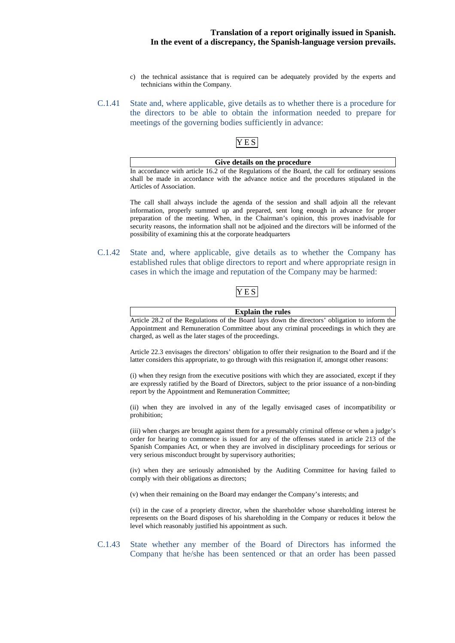- c) the technical assistance that is required can be adequately provided by the experts and technicians within the Company.
- C.1.41 State and, where applicable, give details as to whether there is a procedure for the directors to be able to obtain the information needed to prepare for meetings of the governing bodies sufficiently in advance:

## YES

## **Give details on the procedure**

In accordance with article 16.2 of the Regulations of the Board, the call for ordinary sessions shall be made in accordance with the advance notice and the procedures stipulated in the Articles of Association.

The call shall always include the agenda of the session and shall adjoin all the relevant information, properly summed up and prepared, sent long enough in advance for proper preparation of the meeting. When, in the Chairman's opinion, this proves inadvisable for security reasons, the information shall not be adjoined and the directors will be informed of the possibility of examining this at the corporate headquarters

C.1.42 State and, where applicable, give details as to whether the Company has established rules that oblige directors to report and where appropriate resign in cases in which the image and reputation of the Company may be harmed:

## YES

| <b>Explain the rules</b>                                                                       |
|------------------------------------------------------------------------------------------------|
| Article 28.2 of the Regulations of the Board lays down the directors' obligation to inform the |
| Appointment and Remuneration Committee about any criminal proceedings in which they are        |
| charged, as well as the later stages of the proceedings.                                       |

Article 22.3 envisages the directors' obligation to offer their resignation to the Board and if the latter considers this appropriate, to go through with this resignation if, amongst other reasons:

(i) when they resign from the executive positions with which they are associated, except if they are expressly ratified by the Board of Directors, subject to the prior issuance of a non-binding report by the Appointment and Remuneration Committee;

(ii) when they are involved in any of the legally envisaged cases of incompatibility or prohibition;

(iii) when charges are brought against them for a presumably criminal offense or when a judge's order for hearing to commence is issued for any of the offenses stated in article 213 of the Spanish Companies Act, or when they are involved in disciplinary proceedings for serious or very serious misconduct brought by supervisory authorities;

(iv) when they are seriously admonished by the Auditing Committee for having failed to comply with their obligations as directors;

(v) when their remaining on the Board may endanger the Company's interests; and

(vi) in the case of a propriety director, when the shareholder whose shareholding interest he represents on the Board disposes of his shareholding in the Company or reduces it below the level which reasonably justified his appointment as such.

C.1.43 State whether any member of the Board of Directors has informed the Company that he/she has been sentenced or that an order has been passed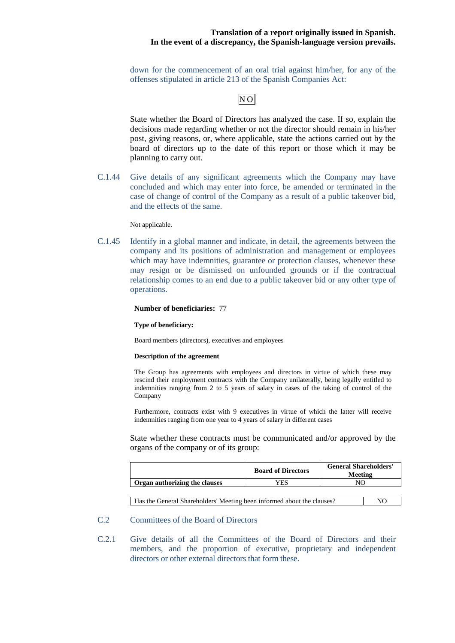down for the commencement of an oral trial against him/her, for any of the offenses stipulated in article 213 of the Spanish Companies Act:

## NO

State whether the Board of Directors has analyzed the case. If so, explain the decisions made regarding whether or not the director should remain in his/her post, giving reasons, or, where applicable, state the actions carried out by the board of directors up to the date of this report or those which it may be planning to carry out.

C.1.44 Give details of any significant agreements which the Company may have concluded and which may enter into force, be amended or terminated in the case of change of control of the Company as a result of a public takeover bid, and the effects of the same.

Not applicable.

C.1.45 Identify in a global manner and indicate, in detail, the agreements between the company and its positions of administration and management or employees which may have indemnities, guarantee or protection clauses, whenever these may resign or be dismissed on unfounded grounds or if the contractual relationship comes to an end due to a public takeover bid or any other type of operations.

#### **Number of beneficiaries:** 77

#### **Type of beneficiary:**

Board members (directors), executives and employees

#### **Description of the agreement**

The Group has agreements with employees and directors in virtue of which these may rescind their employment contracts with the Company unilaterally, being legally entitled to indemnities ranging from 2 to 5 years of salary in cases of the taking of control of the Company

Furthermore, contracts exist with 9 executives in virtue of which the latter will receive indemnities ranging from one year to 4 years of salary in different cases

State whether these contracts must be communicated and/or approved by the organs of the company or of its group:

|                               | <b>Board of Directors</b> | <b>General Shareholders'</b><br>Meeting |
|-------------------------------|---------------------------|-----------------------------------------|
| Organ authorizing the clauses | YES                       |                                         |
|                               |                           |                                         |

| Has the General Shareholders' Meeting been informed about the clauses? | N <sub>O</sub> |
|------------------------------------------------------------------------|----------------|
|                                                                        |                |

## C.2 Committees of the Board of Directors

C.2.1 Give details of all the Committees of the Board of Directors and their members, and the proportion of executive, proprietary and independent directors or other external directors that form these.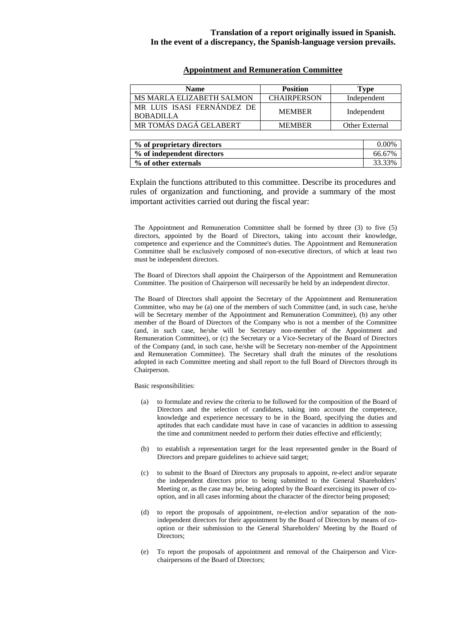### **Appointment and Remuneration Committee**

| <b>Name</b>                                    | <b>Position</b>    | Type           |
|------------------------------------------------|--------------------|----------------|
| MS MARLA ELIZABETH SALMON                      | <b>CHAIRPERSON</b> | Independent    |
| MR LUIS ISASI FERNÁNDEZ DE<br><b>BOBADILLA</b> | <b>MEMBER</b>      | Independent    |
| MR TOMÁS DAGÁ GELABERT                         | <b>MEMBER</b>      | Other External |
|                                                |                    |                |

| % of proprietary directors | $0.00\%$ |
|----------------------------|----------|
| % of independent directors | 66.67%   |
| % of other externals       | 33.33%   |

Explain the functions attributed to this committee. Describe its procedures and rules of organization and functioning, and provide a summary of the most important activities carried out during the fiscal year:

The Appointment and Remuneration Committee shall be formed by three (3) to five (5) directors, appointed by the Board of Directors, taking into account their knowledge, competence and experience and the Committee's duties. The Appointment and Remuneration Committee shall be exclusively composed of non-executive directors, of which at least two must be independent directors.

The Board of Directors shall appoint the Chairperson of the Appointment and Remuneration Committee. The position of Chairperson will necessarily be held by an independent director.

The Board of Directors shall appoint the Secretary of the Appointment and Remuneration Committee, who may be (a) one of the members of such Committee (and, in such case, he/she will be Secretary member of the Appointment and Remuneration Committee), (b) any other member of the Board of Directors of the Company who is not a member of the Committee (and, in such case, he/she will be Secretary non-member of the Appointment and Remuneration Committee), or (c) the Secretary or a Vice-Secretary of the Board of Directors of the Company (and, in such case, he/she will be Secretary non-member of the Appointment and Remuneration Committee). The Secretary shall draft the minutes of the resolutions adopted in each Committee meeting and shall report to the full Board of Directors through its Chairperson.

Basic responsibilities:

- (a) to formulate and review the criteria to be followed for the composition of the Board of Directors and the selection of candidates, taking into account the competence, knowledge and experience necessary to be in the Board, specifying the duties and aptitudes that each candidate must have in case of vacancies in addition to assessing the time and commitment needed to perform their duties effective and efficiently;
- (b) to establish a representation target for the least represented gender in the Board of Directors and prepare guidelines to achieve said target;
- (c) to submit to the Board of Directors any proposals to appoint, re-elect and/or separate the independent directors prior to being submitted to the General Shareholders' Meeting or, as the case may be, being adopted by the Board exercising its power of cooption, and in all cases informing about the character of the director being proposed;
- (d) to report the proposals of appointment, re-election and/or separation of the nonindependent directors for their appointment by the Board of Directors by means of cooption or their submission to the General Shareholders' Meeting by the Board of Directors;
- (e) To report the proposals of appointment and removal of the Chairperson and Vicechairpersons of the Board of Directors;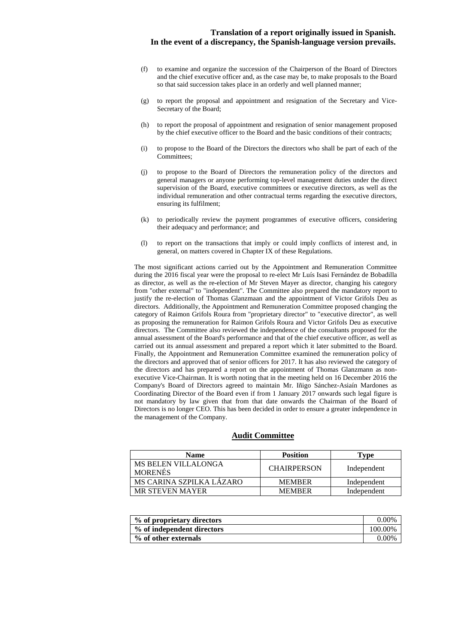- (f) to examine and organize the succession of the Chairperson of the Board of Directors and the chief executive officer and, as the case may be, to make proposals to the Board so that said succession takes place in an orderly and well planned manner;
- (g) to report the proposal and appointment and resignation of the Secretary and Vice-Secretary of the Board;
- (h) to report the proposal of appointment and resignation of senior management proposed by the chief executive officer to the Board and the basic conditions of their contracts;
- (i) to propose to the Board of the Directors the directors who shall be part of each of the Committees;
- (j) to propose to the Board of Directors the remuneration policy of the directors and general managers or anyone performing top-level management duties under the direct supervision of the Board, executive committees or executive directors, as well as the individual remuneration and other contractual terms regarding the executive directors, ensuring its fulfilment;
- (k) to periodically review the payment programmes of executive officers, considering their adequacy and performance; and
- (l) to report on the transactions that imply or could imply conflicts of interest and, in general, on matters covered in Chapter IX of these Regulations.

The most significant actions carried out by the Appointment and Remuneration Committee during the 2016 fiscal year were the proposal to re-elect Mr Luís Isasi Fernández de Bobadilla as director, as well as the re-election of Mr Steven Mayer as director, changing his category from "other external" to "independent". The Committee also prepared the mandatory report to justify the re-election of Thomas Glanzmaan and the appointment of Victor Grifols Deu as directors. Additionally, the Appointment and Remuneration Committee proposed changing the category of Raimon Grifols Roura from "proprietary director" to "executive director", as well as proposing the remuneration for Raimon Grifols Roura and Victor Grifols Deu as executive directors. The Committee also reviewed the independence of the consultants proposed for the annual assessment of the Board's performance and that of the chief executive officer, as well as carried out its annual assessment and prepared a report which it later submitted to the Board. Finally, the Appointment and Remuneration Committee examined the remuneration policy of the directors and approved that of senior officers for 2017. It has also reviewed the category of the directors and has prepared a report on the appointment of Thomas Glanzmann as nonexecutive Vice-Chairman. It is worth noting that in the meeting held on 16 December 2016 the Company's Board of Directors agreed to maintain Mr. Iñigo Sánchez-Asiaín Mardones as Coordinating Director of the Board even if from 1 January 2017 onwards such legal figure is not mandatory by law given that from that date onwards the Chairman of the Board of Directors is no longer CEO. This has been decided in order to ensure a greater independence in the management of the Company.

#### **Audit Committee**

| <b>Name</b>                           | <b>Position</b>    | Fype        |
|---------------------------------------|--------------------|-------------|
| MS BELEN VILLALONGA<br><b>MORENÉS</b> | <b>CHAIRPERSON</b> | Independent |
| MS CARINA SZPILKA LÁZARO              | <b>MEMBER</b>      | Independent |
| <b>MR STEVEN MAYER</b>                | <b>MEMBER</b>      | Independent |

| % of proprietary directors | $0.00\%$ |
|----------------------------|----------|
| % of independent directors | 100.00%  |
| % of other externals       | $0.00\%$ |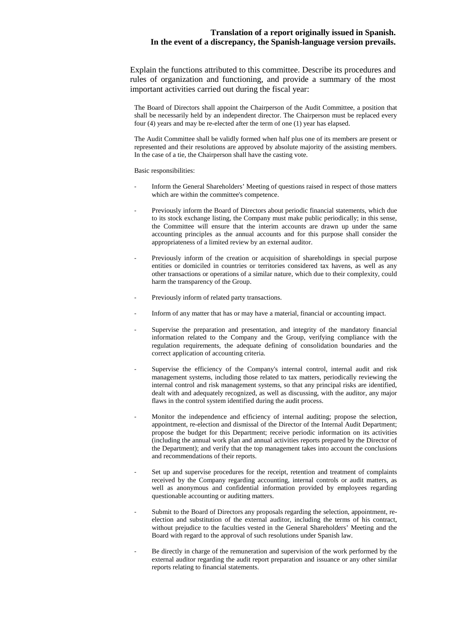Explain the functions attributed to this committee. Describe its procedures and rules of organization and functioning, and provide a summary of the most important activities carried out during the fiscal year:

The Board of Directors shall appoint the Chairperson of the Audit Committee, a position that shall be necessarily held by an independent director. The Chairperson must be replaced every four (4) years and may be re-elected after the term of one (1) year has elapsed.

The Audit Committee shall be validly formed when half plus one of its members are present or represented and their resolutions are approved by absolute majority of the assisting members. In the case of a tie, the Chairperson shall have the casting vote.

Basic responsibilities:

- Inform the General Shareholders' Meeting of questions raised in respect of those matters which are within the committee's competence.
- Previously inform the Board of Directors about periodic financial statements, which due to its stock exchange listing, the Company must make public periodically; in this sense, the Committee will ensure that the interim accounts are drawn up under the same accounting principles as the annual accounts and for this purpose shall consider the appropriateness of a limited review by an external auditor.
- Previously inform of the creation or acquisition of shareholdings in special purpose entities or domiciled in countries or territories considered tax havens, as well as any other transactions or operations of a similar nature, which due to their complexity, could harm the transparency of the Group.
- Previously inform of related party transactions.
- Inform of any matter that has or may have a material, financial or accounting impact.
- Supervise the preparation and presentation, and integrity of the mandatory financial information related to the Company and the Group, verifying compliance with the regulation requirements, the adequate defining of consolidation boundaries and the correct application of accounting criteria.
- Supervise the efficiency of the Company's internal control, internal audit and risk management systems, including those related to tax matters, periodically reviewing the internal control and risk management systems, so that any principal risks are identified, dealt with and adequately recognized, as well as discussing, with the auditor, any major flaws in the control system identified during the audit process.
- Monitor the independence and efficiency of internal auditing; propose the selection, appointment, re-election and dismissal of the Director of the Internal Audit Department; propose the budget for this Department; receive periodic information on its activities (including the annual work plan and annual activities reports prepared by the Director of the Department); and verify that the top management takes into account the conclusions and recommendations of their reports.
- Set up and supervise procedures for the receipt, retention and treatment of complaints received by the Company regarding accounting, internal controls or audit matters, as well as anonymous and confidential information provided by employees regarding questionable accounting or auditing matters.
- Submit to the Board of Directors any proposals regarding the selection, appointment, reelection and substitution of the external auditor, including the terms of his contract, without prejudice to the faculties vested in the General Shareholders' Meeting and the Board with regard to the approval of such resolutions under Spanish law.
- Be directly in charge of the remuneration and supervision of the work performed by the external auditor regarding the audit report preparation and issuance or any other similar reports relating to financial statements.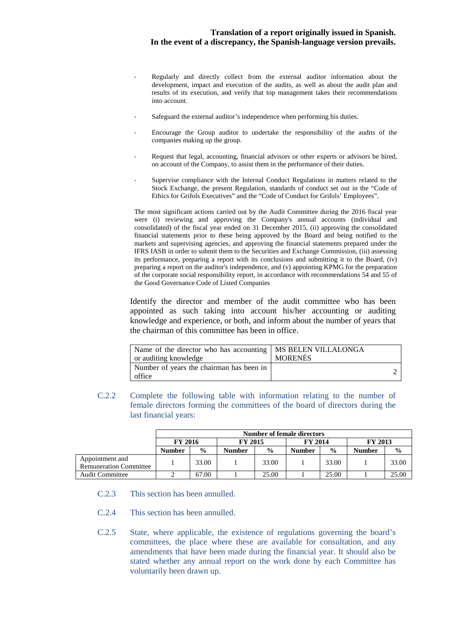- Regularly and directly collect from the external auditor information about the development, impact and execution of the audits, as well as about the audit plan and results of its execution, and verify that top management takes their recommendations into account.
- Safeguard the external auditor's independence when performing his duties.
- Encourage the Group auditor to undertake the responsibility of the audits of the companies making up the group.
- Request that legal, accounting, financial advisors or other experts or advisors be hired, on account of the Company, to assist them in the performance of their duties.
- Supervise compliance with the Internal Conduct Regulations in matters related to the Stock Exchange, the present Regulation, standards of conduct set out in the "Code of Ethics for Grifols Executives" and the "Code of Conduct for Grifols' Employees".

The most significant actions carried out by the Audit Committee during the 2016 fiscal year were (i) reviewing and approving the Company's annual accounts (individual and consolidated) of the fiscal year ended on 31 December 2015, (ii) approving the consolidated financial statements prior to these being approved by the Board and being notified to the markets and supervising agencies, and approving the financial statements prepared under the IFRS IASB in order to submit them to the Securities and Exchange Commission, (iii) assessing its performance, preparing a report with its conclusions and submitting it to the Board, (iv) preparing a report on the auditor's independence, and (v) appointing KPMG for the preparation of the corporate social responsibility report, in accordance with recommendations 54 and 55 of the Good Governance Code of Listed Companies

Identify the director and member of the audit committee who has been appointed as such taking into account his/her accounting or auditing knowledge and experience, or both, and inform about the number of years that the chairman of this committee has been in office.

| Name of the director who has accounting   MS BELEN VILLALONGA<br>or auditing knowledge | <b>MORENÉS</b> |  |
|----------------------------------------------------------------------------------------|----------------|--|
| Number of years the chairman has been in<br>office                                     |                |  |

C.2.2 Complete the following table with information relating to the number of female directors forming the committees of the board of directors during the last financial years:

|                                                  | Number of female directors |                |        |                                  |               |               |                |               |
|--------------------------------------------------|----------------------------|----------------|--------|----------------------------------|---------------|---------------|----------------|---------------|
|                                                  |                            | <b>FY 2015</b> |        | <b>FY 2016</b><br><b>FY 2014</b> |               |               | <b>FY 2013</b> |               |
|                                                  | <b>Number</b>              | $\frac{0}{0}$  | Number | $\frac{6}{9}$                    | <b>Number</b> | $\frac{0}{0}$ | Number         | $\frac{0}{0}$ |
| Appointment and<br><b>Remuneration Committee</b> |                            | 33.00          |        | 33.00                            |               | 33.00         |                | 33.00         |
| <b>Audit Committee</b>                           |                            | 67.00          |        | 25.00                            |               | 25.00         |                | 25.00         |

- C.2.3 This section has been annulled.
- C.2.4 This section has been annulled.
- C.2.5 State, where applicable, the existence of regulations governing the board's committees, the place where these are available for consultation, and any amendments that have been made during the financial year. It should also be stated whether any annual report on the work done by each Committee has voluntarily been drawn up.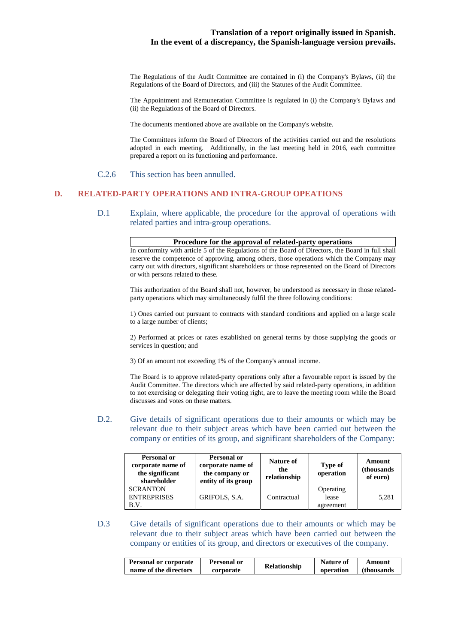The Regulations of the Audit Committee are contained in (i) the Company's Bylaws, (ii) the Regulations of the Board of Directors, and (iii) the Statutes of the Audit Committee.

The Appointment and Remuneration Committee is regulated in (i) the Company's Bylaws and (ii) the Regulations of the Board of Directors.

The documents mentioned above are available on the Company's website.

The Committees inform the Board of Directors of the activities carried out and the resolutions adopted in each meeting. Additionally, in the last meeting held in 2016, each committee prepared a report on its functioning and performance.

### C.2.6 This section has been annulled.

### **D. RELATED-PARTY OPERATIONS AND INTRA-GROUP OPEATIONS**

D.1 Explain, where applicable, the procedure for the approval of operations with related parties and intra-group operations.

In conformity with article 5 of the Regulations of the Board of Directors, the Board in full shall reserve the competence of approving, among others, those operations which the Company may carry out with directors, significant shareholders or those represented on the Board of Directors or with persons related to these.

This authorization of the Board shall not, however, be understood as necessary in those relatedparty operations which may simultaneously fulfil the three following conditions:

1) Ones carried out pursuant to contracts with standard conditions and applied on a large scale to a large number of clients;

2) Performed at prices or rates established on general terms by those supplying the goods or services in question; and

3) Of an amount not exceeding 1% of the Company's annual income.

The Board is to approve related-party operations only after a favourable report is issued by the Audit Committee. The directors which are affected by said related-party operations, in addition to not exercising or delegating their voting right, are to leave the meeting room while the Board discusses and votes on these matters.

D.2. Give details of significant operations due to their amounts or which may be relevant due to their subject areas which have been carried out between the company or entities of its group, and significant shareholders of the Company:

| Personal or<br>corporate name of<br>the significant<br>shareholder | Personal or<br>corporate name of<br>the company or<br>entity of its group | Nature of<br>the<br>relationship | <b>Type of</b><br>operation     | Amount<br>(thousands)<br>of euro) |
|--------------------------------------------------------------------|---------------------------------------------------------------------------|----------------------------------|---------------------------------|-----------------------------------|
| <b>SCRANTON</b><br><b>ENTREPRISES</b><br>B.V.                      | GRIFOLS, S.A.                                                             | Contractual                      | Operating<br>lease<br>agreement | 5,281                             |

D.3 Give details of significant operations due to their amounts or which may be relevant due to their subject areas which have been carried out between the company or entities of its group, and directors or executives of the company.

| <b>Personal or corporate</b> | Personal or | <b>Relationship</b> | <b>Nature of</b> | Amount      |
|------------------------------|-------------|---------------------|------------------|-------------|
| name of the directors        | corporate   |                     | operation        | (thousands) |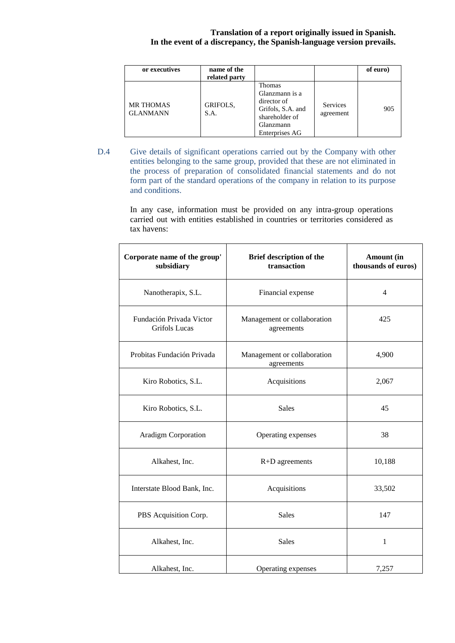| or executives                       | name of the<br>related party |                                                                                                               |                       | of euro) |
|-------------------------------------|------------------------------|---------------------------------------------------------------------------------------------------------------|-----------------------|----------|
| <b>MR THOMAS</b><br><b>GLANMANN</b> | GRIFOLS,<br>S.A.             | Thomas<br>Glanzmann is a<br>director of<br>Grifols, S.A. and<br>shareholder of<br>Glanzmann<br>Enterprises AG | Services<br>agreement | 905      |

D.4 Give details of significant operations carried out by the Company with other entities belonging to the same group, provided that these are not eliminated in the process of preparation of consolidated financial statements and do not form part of the standard operations of the company in relation to its purpose and conditions.

> In any case, information must be provided on any intra-group operations carried out with entities established in countries or territories considered as tax havens:

| Corporate name of the group'<br>subsidiary | Brief description of the<br>transaction   | Amount (in<br>thousands of euros) |
|--------------------------------------------|-------------------------------------------|-----------------------------------|
| Nanotherapix, S.L.                         | Financial expense                         | $\overline{4}$                    |
| Fundación Privada Victor<br>Grifols Lucas  | Management or collaboration<br>agreements | 425                               |
| Probitas Fundación Privada                 | Management or collaboration<br>agreements | 4,900                             |
| Kiro Robotics, S.L.                        | Acquisitions                              | 2,067                             |
| Kiro Robotics, S.L.                        | <b>Sales</b>                              | 45                                |
| <b>Aradigm Corporation</b>                 | Operating expenses                        | 38                                |
| Alkahest, Inc.                             | $R+D$ agreements                          | 10,188                            |
| Interstate Blood Bank, Inc.                | Acquisitions                              | 33,502                            |
| PBS Acquisition Corp.                      | <b>Sales</b>                              | 147                               |
| Alkahest, Inc.                             | <b>Sales</b>                              | $\mathbf{1}$                      |
| Alkahest, Inc.                             | Operating expenses                        | 7,257                             |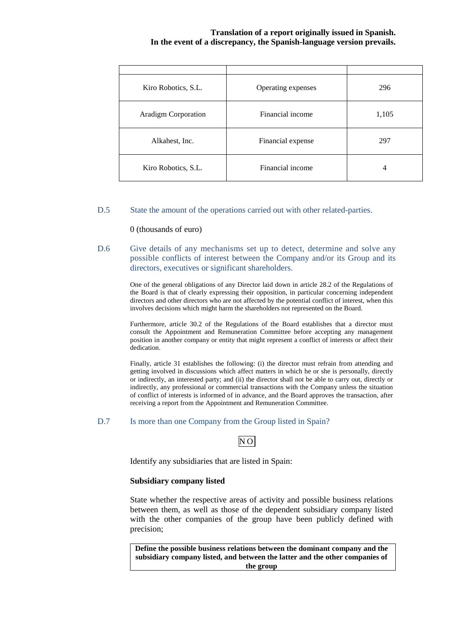| Kiro Robotics, S.L.        | Operating expenses | 296   |
|----------------------------|--------------------|-------|
| <b>Aradigm Corporation</b> | Financial income   | 1,105 |
| Alkahest, Inc.             | Financial expense  | 297   |
| Kiro Robotics, S.L.        | Financial income   | 4     |

## D.5 State the amount of the operations carried out with other related-parties.

### 0 (thousands of euro)

D.6 Give details of any mechanisms set up to detect, determine and solve any possible conflicts of interest between the Company and/or its Group and its directors, executives or significant shareholders.

> One of the general obligations of any Director laid down in article 28.2 of the Regulations of the Board is that of clearly expressing their opposition, in particular concerning independent directors and other directors who are not affected by the potential conflict of interest, when this involves decisions which might harm the shareholders not represented on the Board.

> Furthermore, article 30.2 of the Regulations of the Board establishes that a director must consult the Appointment and Remuneration Committee before accepting any management position in another company or entity that might represent a conflict of interests or affect their dedication.

> Finally, article 31 establishes the following: (i) the director must refrain from attending and getting involved in discussions which affect matters in which he or she is personally, directly or indirectly, an interested party; and (ii) the director shall not be able to carry out, directly or indirectly, any professional or commercial transactions with the Company unless the situation of conflict of interests is informed of in advance, and the Board approves the transaction, after receiving a report from the Appointment and Remuneration Committee.

### D.7 Is more than one Company from the Group listed in Spain?

## NO

Identify any subsidiaries that are listed in Spain:

## **Subsidiary company listed**

State whether the respective areas of activity and possible business relations between them, as well as those of the dependent subsidiary company listed with the other companies of the group have been publicly defined with precision;

**Define the possible business relations between the dominant company and the subsidiary company listed, and between the latter and the other companies of the group**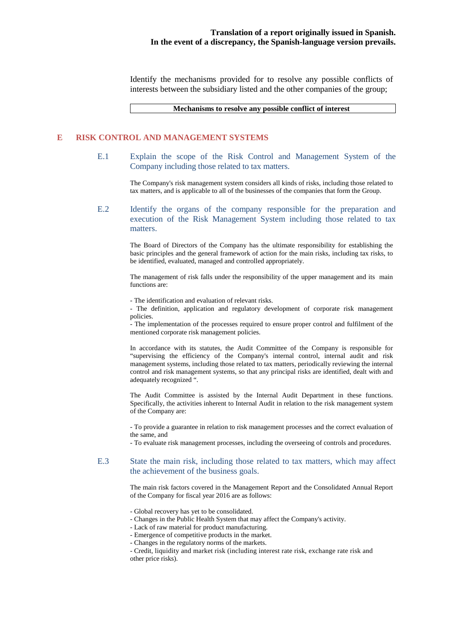Identify the mechanisms provided for to resolve any possible conflicts of interests between the subsidiary listed and the other companies of the group;

**Mechanisms to resolve any possible conflict of interest** 

## **E RISK CONTROL AND MANAGEMENT SYSTEMS**

E.1 Explain the scope of the Risk Control and Management System of the Company including those related to tax matters.

> The Company's risk management system considers all kinds of risks, including those related to tax matters, and is applicable to all of the businesses of the companies that form the Group.

E.2 Identify the organs of the company responsible for the preparation and execution of the Risk Management System including those related to tax matters.

> The Board of Directors of the Company has the ultimate responsibility for establishing the basic principles and the general framework of action for the main risks, including tax risks, to be identified, evaluated, managed and controlled appropriately.

> The management of risk falls under the responsibility of the upper management and its main functions are:

- The identification and evaluation of relevant risks.

- The definition, application and regulatory development of corporate risk management policies.

- The implementation of the processes required to ensure proper control and fulfilment of the mentioned corporate risk management policies.

In accordance with its statutes, the Audit Committee of the Company is responsible for "supervising the efficiency of the Company's internal control, internal audit and risk management systems, including those related to tax matters, periodically reviewing the internal control and risk management systems, so that any principal risks are identified, dealt with and adequately recognized ".

The Audit Committee is assisted by the Internal Audit Department in these functions. Specifically, the activities inherent to Internal Audit in relation to the risk management system of the Company are:

- To provide a guarantee in relation to risk management processes and the correct evaluation of the same, and

- To evaluate risk management processes, including the overseeing of controls and procedures.

## E.3 State the main risk, including those related to tax matters, which may affect the achievement of the business goals.

The main risk factors covered in the Management Report and the Consolidated Annual Report of the Company for fiscal year 2016 are as follows:

- Global recovery has yet to be consolidated.
- Changes in the Public Health System that may affect the Company's activity.
- Lack of raw material for product manufacturing.
- Emergence of competitive products in the market.
- Changes in the regulatory norms of the markets.

<sup>-</sup> Credit, liquidity and market risk (including interest rate risk, exchange rate risk and other price risks).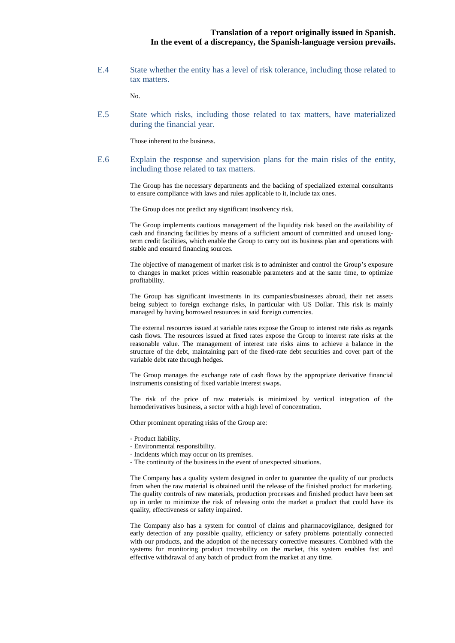E.4 State whether the entity has a level of risk tolerance, including those related to tax matters.

No.

E.5 State which risks, including those related to tax matters, have materialized during the financial year.

Those inherent to the business.

E.6 Explain the response and supervision plans for the main risks of the entity, including those related to tax matters.

> The Group has the necessary departments and the backing of specialized external consultants to ensure compliance with laws and rules applicable to it, include tax ones.

The Group does not predict any significant insolvency risk.

The Group implements cautious management of the liquidity risk based on the availability of cash and financing facilities by means of a sufficient amount of committed and unused longterm credit facilities, which enable the Group to carry out its business plan and operations with stable and ensured financing sources.

The objective of management of market risk is to administer and control the Group's exposure to changes in market prices within reasonable parameters and at the same time, to optimize profitability.

The Group has significant investments in its companies/businesses abroad, their net assets being subject to foreign exchange risks, in particular with US Dollar. This risk is mainly managed by having borrowed resources in said foreign currencies.

The external resources issued at variable rates expose the Group to interest rate risks as regards cash flows. The resources issued at fixed rates expose the Group to interest rate risks at the reasonable value. The management of interest rate risks aims to achieve a balance in the structure of the debt, maintaining part of the fixed-rate debt securities and cover part of the variable debt rate through hedges.

The Group manages the exchange rate of cash flows by the appropriate derivative financial instruments consisting of fixed variable interest swaps.

The risk of the price of raw materials is minimized by vertical integration of the hemoderivatives business, a sector with a high level of concentration.

Other prominent operating risks of the Group are:

- Product liability.
- Environmental responsibility.
- Incidents which may occur on its premises.
- The continuity of the business in the event of unexpected situations.

The Company has a quality system designed in order to guarantee the quality of our products from when the raw material is obtained until the release of the finished product for marketing. The quality controls of raw materials, production processes and finished product have been set up in order to minimize the risk of releasing onto the market a product that could have its quality, effectiveness or safety impaired.

The Company also has a system for control of claims and pharmacovigilance, designed for early detection of any possible quality, efficiency or safety problems potentially connected with our products, and the adoption of the necessary corrective measures. Combined with the systems for monitoring product traceability on the market, this system enables fast and effective withdrawal of any batch of product from the market at any time.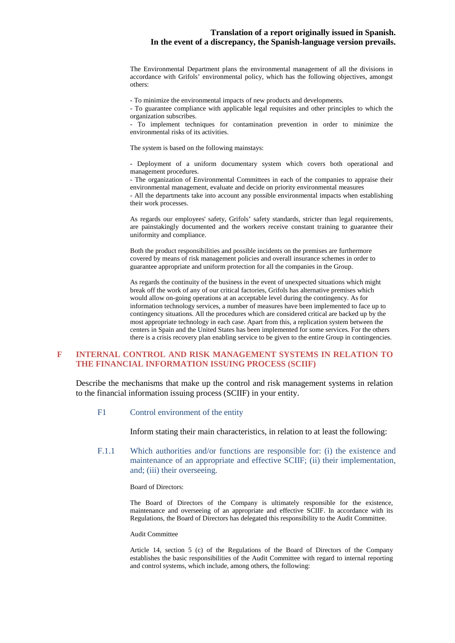The Environmental Department plans the environmental management of all the divisions in accordance with Grifols' environmental policy, which has the following objectives, amongst others:

- To minimize the environmental impacts of new products and developments.

- To guarantee compliance with applicable legal requisites and other principles to which the organization subscribes.

- To implement techniques for contamination prevention in order to minimize the environmental risks of its activities.

The system is based on the following mainstays:

- Deployment of a uniform documentary system which covers both operational and management procedures.

- The organization of Environmental Committees in each of the companies to appraise their environmental management, evaluate and decide on priority environmental measures

- All the departments take into account any possible environmental impacts when establishing their work processes.

As regards our employees' safety, Grifols' safety standards, stricter than legal requirements, are painstakingly documented and the workers receive constant training to guarantee their uniformity and compliance.

Both the product responsibilities and possible incidents on the premises are furthermore covered by means of risk management policies and overall insurance schemes in order to guarantee appropriate and uniform protection for all the companies in the Group.

As regards the continuity of the business in the event of unexpected situations which might break off the work of any of our critical factories, Grifols has alternative premises which would allow on-going operations at an acceptable level during the contingency. As for information technology services, a number of measures have been implemented to face up to contingency situations. All the procedures which are considered critical are backed up by the most appropriate technology in each case. Apart from this, a replication system between the centers in Spain and the United States has been implemented for some services. For the others there is a crisis recovery plan enabling service to be given to the entire Group in contingencies.

## **F INTERNAL CONTROL AND RISK MANAGEMENT SYSTEMS IN RELATION TO THE FINANCIAL INFORMATION ISSUING PROCESS (SCIIF)**

Describe the mechanisms that make up the control and risk management systems in relation to the financial information issuing process (SCIIF) in your entity.

#### F1 Control environment of the entity

Inform stating their main characteristics, in relation to at least the following:

F.1.1 Which authorities and/or functions are responsible for: (i) the existence and maintenance of an appropriate and effective SCIIF; (ii) their implementation, and; (iii) their overseeing.

#### Board of Directors:

The Board of Directors of the Company is ultimately responsible for the existence, maintenance and overseeing of an appropriate and effective SCIIF. In accordance with its Regulations, the Board of Directors has delegated this responsibility to the Audit Committee.

#### Audit Committee

Article 14, section 5 (c) of the Regulations of the Board of Directors of the Company establishes the basic responsibilities of the Audit Committee with regard to internal reporting and control systems, which include, among others, the following: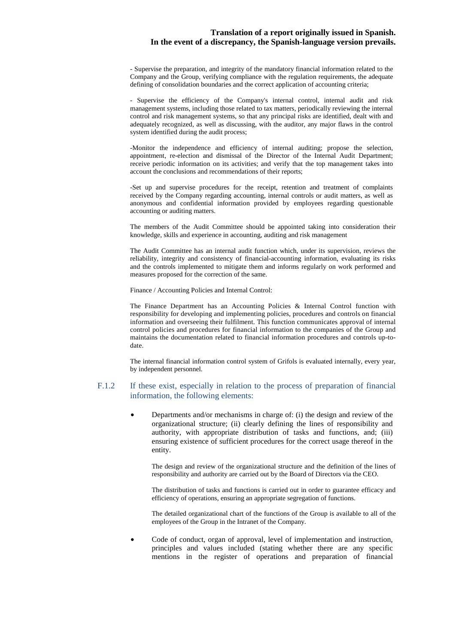- Supervise the preparation, and integrity of the mandatory financial information related to the Company and the Group, verifying compliance with the regulation requirements, the adequate defining of consolidation boundaries and the correct application of accounting criteria;

- Supervise the efficiency of the Company's internal control, internal audit and risk management systems, including those related to tax matters, periodically reviewing the internal control and risk management systems, so that any principal risks are identified, dealt with and adequately recognized, as well as discussing, with the auditor, any major flaws in the control system identified during the audit process;

-Monitor the independence and efficiency of internal auditing; propose the selection, appointment, re-election and dismissal of the Director of the Internal Audit Department; receive periodic information on its activities; and verify that the top management takes into account the conclusions and recommendations of their reports;

-Set up and supervise procedures for the receipt, retention and treatment of complaints received by the Company regarding accounting, internal controls or audit matters, as well as anonymous and confidential information provided by employees regarding questionable accounting or auditing matters.

The members of the Audit Committee should be appointed taking into consideration their knowledge, skills and experience in accounting, auditing and risk management

The Audit Committee has an internal audit function which, under its supervision, reviews the reliability, integrity and consistency of financial-accounting information, evaluating its risks and the controls implemented to mitigate them and informs regularly on work performed and measures proposed for the correction of the same.

Finance / Accounting Policies and Internal Control:

The Finance Department has an Accounting Policies & Internal Control function with responsibility for developing and implementing policies, procedures and controls on financial information and overseeing their fulfilment. This function communicates approval of internal control policies and procedures for financial information to the companies of the Group and maintains the documentation related to financial information procedures and controls up-todate.

The internal financial information control system of Grifols is evaluated internally, every year, by independent personnel.

### F.1.2 If these exist, especially in relation to the process of preparation of financial information, the following elements:

• Departments and/or mechanisms in charge of: (i) the design and review of the organizational structure; (ii) clearly defining the lines of responsibility and authority, with appropriate distribution of tasks and functions, and; (iii) ensuring existence of sufficient procedures for the correct usage thereof in the entity.

The design and review of the organizational structure and the definition of the lines of responsibility and authority are carried out by the Board of Directors via the CEO.

The distribution of tasks and functions is carried out in order to guarantee efficacy and efficiency of operations, ensuring an appropriate segregation of functions.

The detailed organizational chart of the functions of the Group is available to all of the employees of the Group in the Intranet of the Company.

• Code of conduct, organ of approval, level of implementation and instruction, principles and values included (stating whether there are any specific mentions in the register of operations and preparation of financial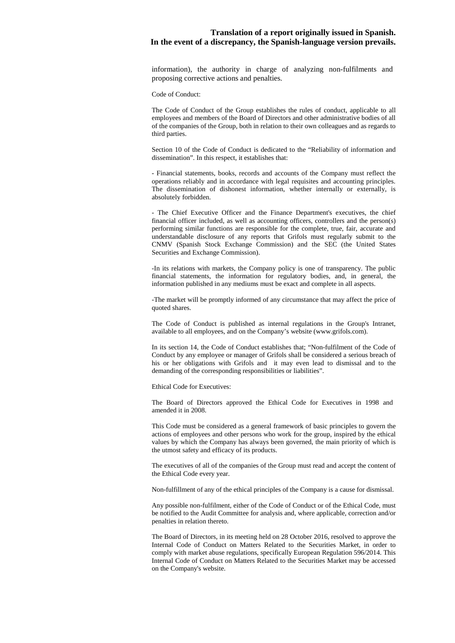information), the authority in charge of analyzing non-fulfilments and proposing corrective actions and penalties.

Code of Conduct:

The Code of Conduct of the Group establishes the rules of conduct, applicable to all employees and members of the Board of Directors and other administrative bodies of all of the companies of the Group, both in relation to their own colleagues and as regards to third parties.

Section 10 of the Code of Conduct is dedicated to the "Reliability of information and dissemination". In this respect, it establishes that:

- Financial statements, books, records and accounts of the Company must reflect the operations reliably and in accordance with legal requisites and accounting principles. The dissemination of dishonest information, whether internally or externally, is absolutely forbidden.

- The Chief Executive Officer and the Finance Department's executives, the chief financial officer included, as well as accounting officers, controllers and the person(s) performing similar functions are responsible for the complete, true, fair, accurate and understandable disclosure of any reports that Grifols must regularly submit to the CNMV (Spanish Stock Exchange Commission) and the SEC (the United States Securities and Exchange Commission).

-In its relations with markets, the Company policy is one of transparency. The public financial statements, the information for regulatory bodies, and, in general, the information published in any mediums must be exact and complete in all aspects.

-The market will be promptly informed of any circumstance that may affect the price of quoted shares.

The Code of Conduct is published as internal regulations in the Group's Intranet, available to all employees, and on the Company's website (www.grifols.com).

In its section 14, the Code of Conduct establishes that; "Non-fulfilment of the Code of Conduct by any employee or manager of Grifols shall be considered a serious breach of his or her obligations with Grifols and it may even lead to dismissal and to the demanding of the corresponding responsibilities or liabilities".

Ethical Code for Executives:

The Board of Directors approved the Ethical Code for Executives in 1998 and amended it in 2008.

This Code must be considered as a general framework of basic principles to govern the actions of employees and other persons who work for the group, inspired by the ethical values by which the Company has always been governed, the main priority of which is the utmost safety and efficacy of its products.

The executives of all of the companies of the Group must read and accept the content of the Ethical Code every year.

Non-fulfillment of any of the ethical principles of the Company is a cause for dismissal.

Any possible non-fulfilment, either of the Code of Conduct or of the Ethical Code, must be notified to the Audit Committee for analysis and, where applicable, correction and/or penalties in relation thereto.

The Board of Directors, in its meeting held on 28 October 2016, resolved to approve the Internal Code of Conduct on Matters Related to the Securities Market, in order to comply with market abuse regulations, specifically European Regulation 596/2014. This Internal Code of Conduct on Matters Related to the Securities Market may be accessed on the Company's website.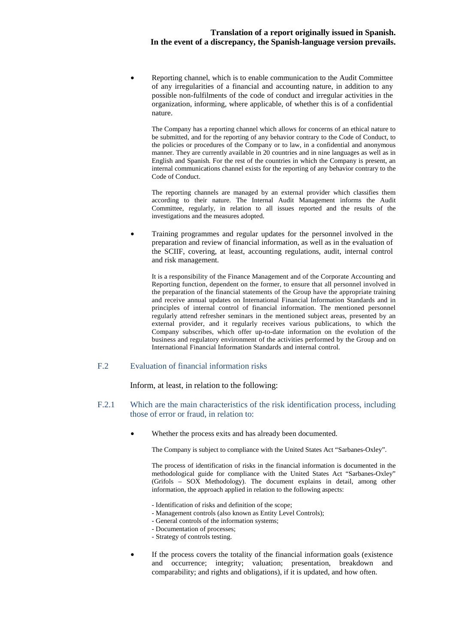• Reporting channel, which is to enable communication to the Audit Committee of any irregularities of a financial and accounting nature, in addition to any possible non-fulfilments of the code of conduct and irregular activities in the organization, informing, where applicable, of whether this is of a confidential nature.

The Company has a reporting channel which allows for concerns of an ethical nature to be submitted, and for the reporting of any behavior contrary to the Code of Conduct, to the policies or procedures of the Company or to law, in a confidential and anonymous manner. They are currently available in 20 countries and in nine languages as well as in English and Spanish. For the rest of the countries in which the Company is present, an internal communications channel exists for the reporting of any behavior contrary to the Code of Conduct.

The reporting channels are managed by an external provider which classifies them according to their nature. The Internal Audit Management informs the Audit Committee, regularly, in relation to all issues reported and the results of the investigations and the measures adopted.

• Training programmes and regular updates for the personnel involved in the preparation and review of financial information, as well as in the evaluation of the SCIIF, covering, at least, accounting regulations, audit, internal control and risk management.

It is a responsibility of the Finance Management and of the Corporate Accounting and Reporting function, dependent on the former, to ensure that all personnel involved in the preparation of the financial statements of the Group have the appropriate training and receive annual updates on International Financial Information Standards and in principles of internal control of financial information. The mentioned personnel regularly attend refresher seminars in the mentioned subject areas, presented by an external provider, and it regularly receives various publications, to which the Company subscribes, which offer up-to-date information on the evolution of the business and regulatory environment of the activities performed by the Group and on International Financial Information Standards and internal control.

## F.2 Evaluation of financial information risks

Inform, at least, in relation to the following:

- F.2.1 Which are the main characteristics of the risk identification process, including those of error or fraud, in relation to:
	- Whether the process exits and has already been documented.

The Company is subject to compliance with the United States Act "Sarbanes-Oxley".

The process of identification of risks in the financial information is documented in the methodological guide for compliance with the United States Act "Sarbanes-Oxley" (Grifols – SOX Methodology). The document explains in detail, among other information, the approach applied in relation to the following aspects:

- Identification of risks and definition of the scope;
- Management controls (also known as Entity Level Controls);
- General controls of the information systems;
- Documentation of processes;
- Strategy of controls testing.
- If the process covers the totality of the financial information goals (existence and occurrence; integrity; valuation; presentation, breakdown and comparability; and rights and obligations), if it is updated, and how often.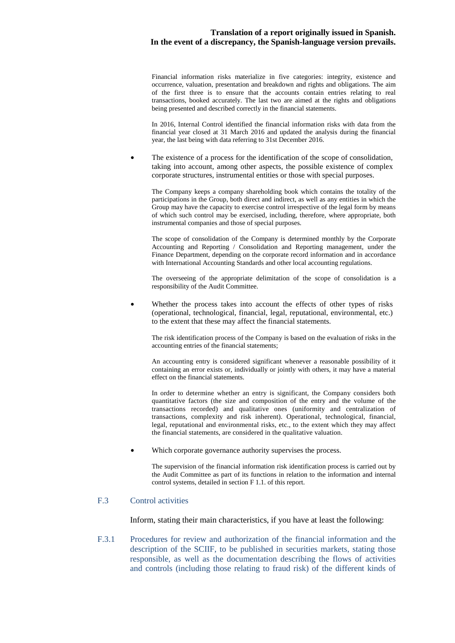Financial information risks materialize in five categories: integrity, existence and occurrence, valuation, presentation and breakdown and rights and obligations. The aim of the first three is to ensure that the accounts contain entries relating to real transactions, booked accurately. The last two are aimed at the rights and obligations being presented and described correctly in the financial statements.

In 2016, Internal Control identified the financial information risks with data from the financial year closed at 31 March 2016 and updated the analysis during the financial year, the last being with data referring to 31st December 2016.

The existence of a process for the identification of the scope of consolidation, taking into account, among other aspects, the possible existence of complex corporate structures, instrumental entities or those with special purposes.

The Company keeps a company shareholding book which contains the totality of the participations in the Group, both direct and indirect, as well as any entities in which the Group may have the capacity to exercise control irrespective of the legal form by means of which such control may be exercised, including, therefore, where appropriate, both instrumental companies and those of special purposes.

The scope of consolidation of the Company is determined monthly by the Corporate Accounting and Reporting / Consolidation and Reporting management, under the Finance Department, depending on the corporate record information and in accordance with International Accounting Standards and other local accounting regulations.

The overseeing of the appropriate delimitation of the scope of consolidation is a responsibility of the Audit Committee.

Whether the process takes into account the effects of other types of risks (operational, technological, financial, legal, reputational, environmental, etc.) to the extent that these may affect the financial statements.

The risk identification process of the Company is based on the evaluation of risks in the accounting entries of the financial statements;

An accounting entry is considered significant whenever a reasonable possibility of it containing an error exists or, individually or jointly with others, it may have a material effect on the financial statements.

In order to determine whether an entry is significant, the Company considers both quantitative factors (the size and composition of the entry and the volume of the transactions recorded) and qualitative ones (uniformity and centralization of transactions, complexity and risk inherent). Operational, technological, financial, legal, reputational and environmental risks, etc., to the extent which they may affect the financial statements, are considered in the qualitative valuation.

• Which corporate governance authority supervises the process.

The supervision of the financial information risk identification process is carried out by the Audit Committee as part of its functions in relation to the information and internal control systems, detailed in section F 1.1. of this report.

## F.3 Control activities

Inform, stating their main characteristics, if you have at least the following:

F.3.1 Procedures for review and authorization of the financial information and the description of the SCIIF, to be published in securities markets, stating those responsible, as well as the documentation describing the flows of activities and controls (including those relating to fraud risk) of the different kinds of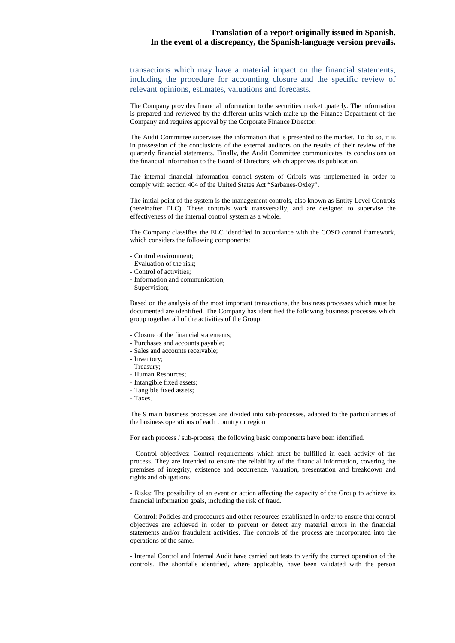transactions which may have a material impact on the financial statements, including the procedure for accounting closure and the specific review of relevant opinions, estimates, valuations and forecasts.

The Company provides financial information to the securities market quaterly. The information is prepared and reviewed by the different units which make up the Finance Department of the Company and requires approval by the Corporate Finance Director.

The Audit Committee supervises the information that is presented to the market. To do so, it is in possession of the conclusions of the external auditors on the results of their review of the quarterly financial statements. Finally, the Audit Committee communicates its conclusions on the financial information to the Board of Directors, which approves its publication.

The internal financial information control system of Grifols was implemented in order to comply with section 404 of the United States Act "Sarbanes-Oxley".

The initial point of the system is the management controls, also known as Entity Level Controls (hereinafter ELC). These controls work transversally, and are designed to supervise the effectiveness of the internal control system as a whole.

The Company classifies the ELC identified in accordance with the COSO control framework, which considers the following components:

- Control environment;
- Evaluation of the risk;
- Control of activities;
- Information and communication;
- Supervision;

Based on the analysis of the most important transactions, the business processes which must be documented are identified. The Company has identified the following business processes which group together all of the activities of the Group:

- Closure of the financial statements;
- Purchases and accounts payable;
- Sales and accounts receivable;
- Inventory;
- Treasury;
- Human Resources;
- Intangible fixed assets;
- Tangible fixed assets;
- Taxes.

The 9 main business processes are divided into sub-processes, adapted to the particularities of the business operations of each country or region

For each process / sub-process, the following basic components have been identified.

- Control objectives: Control requirements which must be fulfilled in each activity of the process. They are intended to ensure the reliability of the financial information, covering the premises of integrity, existence and occurrence, valuation, presentation and breakdown and rights and obligations

- Risks: The possibility of an event or action affecting the capacity of the Group to achieve its financial information goals, including the risk of fraud.

- Control: Policies and procedures and other resources established in order to ensure that control objectives are achieved in order to prevent or detect any material errors in the financial statements and/or fraudulent activities. The controls of the process are incorporated into the operations of the same.

- Internal Control and Internal Audit have carried out tests to verify the correct operation of the controls. The shortfalls identified, where applicable, have been validated with the person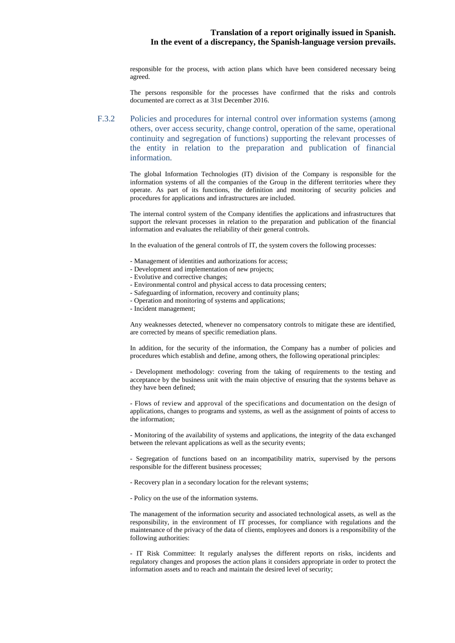responsible for the process, with action plans which have been considered necessary being agreed.

The persons responsible for the processes have confirmed that the risks and controls documented are correct as at 31st December 2016.

F.3.2 Policies and procedures for internal control over information systems (among others, over access security, change control, operation of the same, operational continuity and segregation of functions) supporting the relevant processes of the entity in relation to the preparation and publication of financial information.

> The global Information Technologies (IT) division of the Company is responsible for the information systems of all the companies of the Group in the different territories where they operate. As part of its functions, the definition and monitoring of security policies and procedures for applications and infrastructures are included.

> The internal control system of the Company identifies the applications and infrastructures that support the relevant processes in relation to the preparation and publication of the financial information and evaluates the reliability of their general controls.

In the evaluation of the general controls of IT, the system covers the following processes:

- Management of identities and authorizations for access;
- Development and implementation of new projects;
- Evolutive and corrective changes;
- Environmental control and physical access to data processing centers;
- Safeguarding of information, recovery and continuity plans;
- Operation and monitoring of systems and applications;
- Incident management;

Any weaknesses detected, whenever no compensatory controls to mitigate these are identified, are corrected by means of specific remediation plans.

In addition, for the security of the information, the Company has a number of policies and procedures which establish and define, among others, the following operational principles:

- Development methodology: covering from the taking of requirements to the testing and acceptance by the business unit with the main objective of ensuring that the systems behave as they have been defined;

- Flows of review and approval of the specifications and documentation on the design of applications, changes to programs and systems, as well as the assignment of points of access to the information;

- Monitoring of the availability of systems and applications, the integrity of the data exchanged between the relevant applications as well as the security events;

- Segregation of functions based on an incompatibility matrix, supervised by the persons responsible for the different business processes;

- Recovery plan in a secondary location for the relevant systems;
- Policy on the use of the information systems.

The management of the information security and associated technological assets, as well as the responsibility, in the environment of IT processes, for compliance with regulations and the maintenance of the privacy of the data of clients, employees and donors is a responsibility of the following authorities:

- IT Risk Committee: It regularly analyses the different reports on risks, incidents and regulatory changes and proposes the action plans it considers appropriate in order to protect the information assets and to reach and maintain the desired level of security;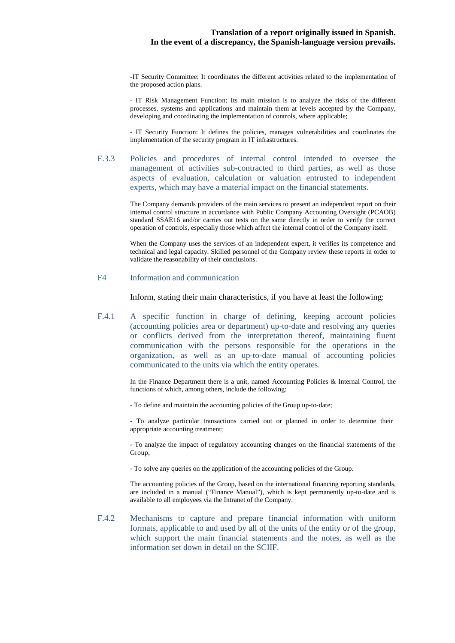-IT Security Committee: It coordinates the different activities related to the implementation of the proposed action plans.

- IT Risk Management Function: Its main mission is to analyze the risks of the different processes, systems and applications and maintain them at levels accepted by the Company, developing and coordinating the implementation of controls, where applicable;

- IT Security Function: It defines the policies, manages vulnerabilities and coordinates the implementation of the security program in IT infrastructures.

F.3.3 Policies and procedures of internal control intended to oversee the management of activities sub-contracted to third parties, as well as those aspects of evaluation, calculation or valuation entrusted to independent experts, which may have a material impact on the financial statements.

> The Company demands providers of the main services to present an independent report on their internal control structure in accordance with Public Company Accounting Oversight (PCAOB) standard SSAE16 and/or carries out tests on the same directly in order to verify the correct operation of controls, especially those which affect the internal control of the Company itself.

> When the Company uses the services of an independent expert, it verifies its competence and technical and legal capacity. Skilled personnel of the Company review these reports in order to validate the reasonability of their conclusions.

#### F4 Information and communication

Inform, stating their main characteristics, if you have at least the following:

F.4.1 A specific function in charge of defining, keeping account policies (accounting policies area or department) up-to-date and resolving any queries or conflicts derived from the interpretation thereof, maintaining fluent communication with the persons responsible for the operations in the organization, as well as an up-to-date manual of accounting policies communicated to the units via which the entity operates.

> In the Finance Department there is a unit, named Accounting Policies & Internal Control, the functions of which, among others, include the following:

- To define and maintain the accounting policies of the Group up-to-date;

- To analyze particular transactions carried out or planned in order to determine their appropriate accounting treatment;

- To analyze the impact of regulatory accounting changes on the financial statements of the Group;

- To solve any queries on the application of the accounting policies of the Group.

The accounting policies of the Group, based on the international financing reporting standards, are included in a manual ("Finance Manual"), which is kept permanently up-to-date and is available to all employees via the Intranet of the Company.

F.4.2 Mechanisms to capture and prepare financial information with uniform formats, applicable to and used by all of the units of the entity or of the group, which support the main financial statements and the notes, as well as the information set down in detail on the SCIIF.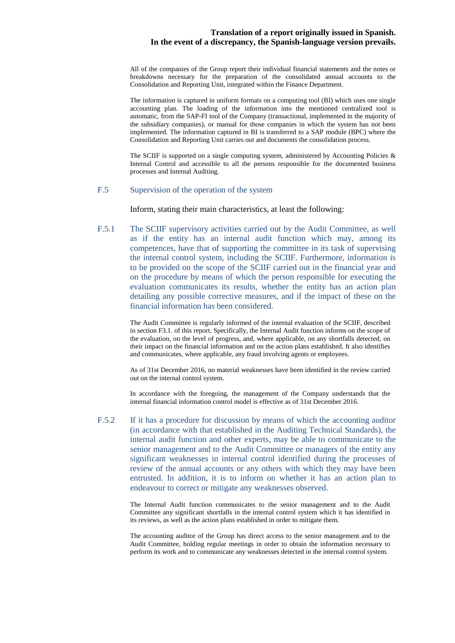All of the companies of the Group report their individual financial statements and the notes or breakdowns necessary for the preparation of the consolidated annual accounts to the Consolidation and Reporting Unit, integrated within the Finance Department.

The information is captured in uniform formats on a computing tool (BI) which uses one single accounting plan. The loading of the information into the mentioned centralized tool is automatic, from the SAP-FI tool of the Company (transactional, implemented in the majority of the subsidiary companies), or manual for those companies in which the system has not been implemented. The information captured in BI is transferred to a SAP module (BPC) where the Consolidation and Reporting Unit carries out and documents the consolidation process.

The SCIIF is supported on a single computing system, administered by Accounting Policies  $\&$ Internal Control and accessible to all the persons responsible for the documented business processes and Internal Auditing.

## F.5 Supervision of the operation of the system

Inform, stating their main characteristics, at least the following:

F.5.1 The SCIIF supervisory activities carried out by the Audit Committee, as well as if the entity has an internal audit function which may, among its competences, have that of supporting the committee in its task of supervising the internal control system, including the SCIIF. Furthermore, information is to be provided on the scope of the SCIIF carried out in the financial year and on the procedure by means of which the person responsible for executing the evaluation communicates its results, whether the entity has an action plan detailing any possible corrective measures, and if the impact of these on the financial information has been considered.

> The Audit Committee is regularly informed of the internal evaluation of the SCIIF, described in section F3.1. of this report. Specifically, the Internal Audit function informs on the scope of the evaluation, on the level of progress, and, where applicable, on any shortfalls detected, on their impact on the financial information and on the action plans established. It also identifies and communicates, where applicable, any fraud involving agents or employees.

> As of 31st December 2016, no material weaknesses have been identified in the review carried out on the internal control system.

> In accordance with the foregoing, the management of the Company understands that the internal financial information control model is effective as of 31st December 2016.

F.5.2 If it has a procedure for discussion by means of which the accounting auditor (in accordance with that established in the Auditing Technical Standards), the internal audit function and other experts, may be able to communicate to the senior management and to the Audit Committee or managers of the entity any significant weaknesses in internal control identified during the processes of review of the annual accounts or any others with which they may have been entrusted. In addition, it is to inform on whether it has an action plan to endeavour to correct or mitigate any weaknesses observed.

> The Internal Audit function communicates to the senior management and to the Audit Committee any significant shortfalls in the internal control system which it has identified in its reviews, as well as the action plans established in order to mitigate them.

> The accounting auditor of the Group has direct access to the senior management and to the Audit Committee, holding regular meetings in order to obtain the information necessary to perform its work and to communicate any weaknesses detected in the internal control system.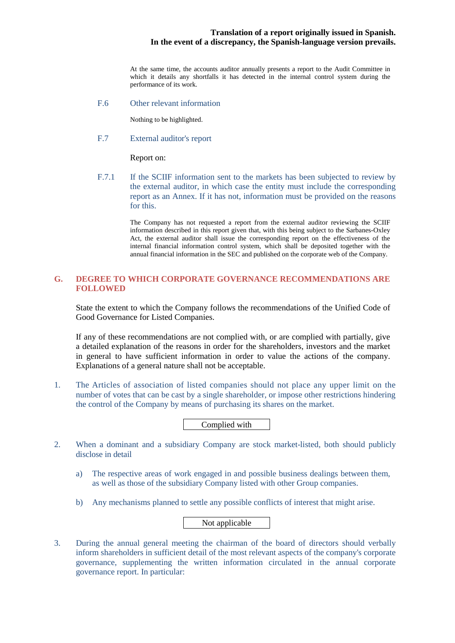At the same time, the accounts auditor annually presents a report to the Audit Committee in which it details any shortfalls it has detected in the internal control system during the performance of its work.

F.6 Other relevant information

Nothing to be highlighted.

F.7 External auditor's report

Report on:

F.7.1 If the SCIIF information sent to the markets has been subjected to review by the external auditor, in which case the entity must include the corresponding report as an Annex. If it has not, information must be provided on the reasons for this.

> The Company has not requested a report from the external auditor reviewing the SCIIF information described in this report given that, with this being subject to the Sarbanes-Oxley Act, the external auditor shall issue the corresponding report on the effectiveness of the internal financial information control system, which shall be deposited together with the annual financial information in the SEC and published on the corporate web of the Company.

## **G. DEGREE TO WHICH CORPORATE GOVERNANCE RECOMMENDATIONS ARE FOLLOWED**

State the extent to which the Company follows the recommendations of the Unified Code of Good Governance for Listed Companies.

If any of these recommendations are not complied with, or are complied with partially, give a detailed explanation of the reasons in order for the shareholders, investors and the market in general to have sufficient information in order to value the actions of the company. Explanations of a general nature shall not be acceptable.

1. The Articles of association of listed companies should not place any upper limit on the number of votes that can be cast by a single shareholder, or impose other restrictions hindering the control of the Company by means of purchasing its shares on the market.

Complied with

- 2. When a dominant and a subsidiary Company are stock market-listed, both should publicly disclose in detail
	- a) The respective areas of work engaged in and possible business dealings between them, as well as those of the subsidiary Company listed with other Group companies.
	- b) Any mechanisms planned to settle any possible conflicts of interest that might arise.

Not applicable

3. During the annual general meeting the chairman of the board of directors should verbally inform shareholders in sufficient detail of the most relevant aspects of the company's corporate governance, supplementing the written information circulated in the annual corporate governance report. In particular: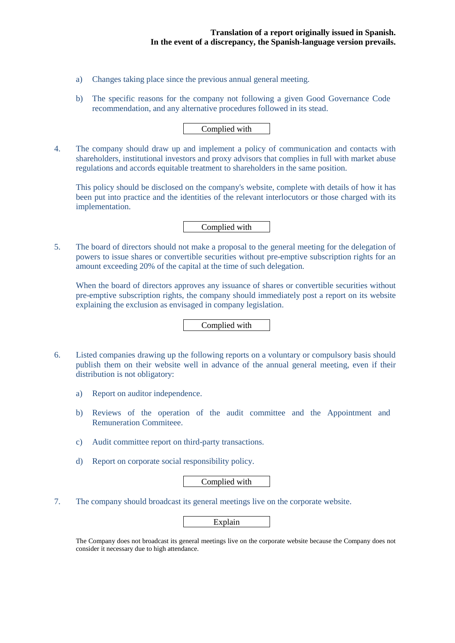- a) Changes taking place since the previous annual general meeting.
- b) The specific reasons for the company not following a given Good Governance Code recommendation, and any alternative procedures followed in its stead.

## Complied with

4. The company should draw up and implement a policy of communication and contacts with shareholders, institutional investors and proxy advisors that complies in full with market abuse regulations and accords equitable treatment to shareholders in the same position.

This policy should be disclosed on the company's website, complete with details of how it has been put into practice and the identities of the relevant interlocutors or those charged with its implementation.

Complied with

5. The board of directors should not make a proposal to the general meeting for the delegation of powers to issue shares or convertible securities without pre-emptive subscription rights for an amount exceeding 20% of the capital at the time of such delegation.

When the board of directors approves any issuance of shares or convertible securities without pre-emptive subscription rights, the company should immediately post a report on its website explaining the exclusion as envisaged in company legislation.

Complied with

- 6. Listed companies drawing up the following reports on a voluntary or compulsory basis should publish them on their website well in advance of the annual general meeting, even if their distribution is not obligatory:
	- a) Report on auditor independence.
	- b) Reviews of the operation of the audit committee and the Appointment and Remuneration Commiteee.
	- c) Audit committee report on third-party transactions.
	- d) Report on corporate social responsibility policy.

Complied with

7. The company should broadcast its general meetings live on the corporate website.

Explain

The Company does not broadcast its general meetings live on the corporate website because the Company does not consider it necessary due to high attendance.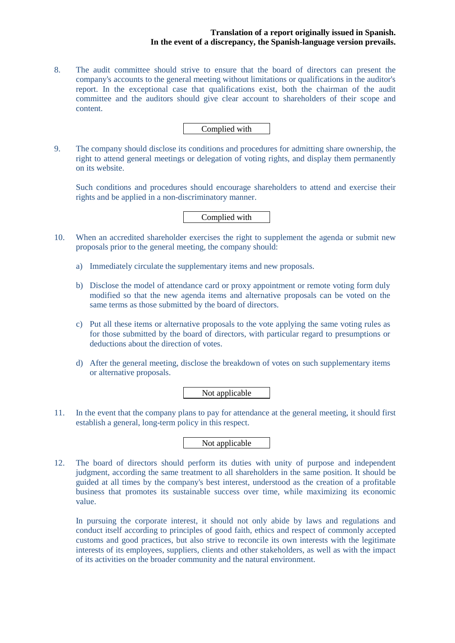8. The audit committee should strive to ensure that the board of directors can present the company's accounts to the general meeting without limitations or qualifications in the auditor's report. In the exceptional case that qualifications exist, both the chairman of the audit committee and the auditors should give clear account to shareholders of their scope and content.

## Complied with

9. The company should disclose its conditions and procedures for admitting share ownership, the right to attend general meetings or delegation of voting rights, and display them permanently on its website.

Such conditions and procedures should encourage shareholders to attend and exercise their rights and be applied in a non-discriminatory manner.

## Complied with

- 10. When an accredited shareholder exercises the right to supplement the agenda or submit new proposals prior to the general meeting, the company should:
	- a) Immediately circulate the supplementary items and new proposals.
	- b) Disclose the model of attendance card or proxy appointment or remote voting form duly modified so that the new agenda items and alternative proposals can be voted on the same terms as those submitted by the board of directors.
	- c) Put all these items or alternative proposals to the vote applying the same voting rules as for those submitted by the board of directors, with particular regard to presumptions or deductions about the direction of votes.
	- d) After the general meeting, disclose the breakdown of votes on such supplementary items or alternative proposals.

Not applicable

11. In the event that the company plans to pay for attendance at the general meeting, it should first establish a general, long-term policy in this respect.

Not applicable

12. The board of directors should perform its duties with unity of purpose and independent judgment, according the same treatment to all shareholders in the same position. It should be guided at all times by the company's best interest, understood as the creation of a profitable business that promotes its sustainable success over time, while maximizing its economic value.

In pursuing the corporate interest, it should not only abide by laws and regulations and conduct itself according to principles of good faith, ethics and respect of commonly accepted customs and good practices, but also strive to reconcile its own interests with the legitimate interests of its employees, suppliers, clients and other stakeholders, as well as with the impact of its activities on the broader community and the natural environment.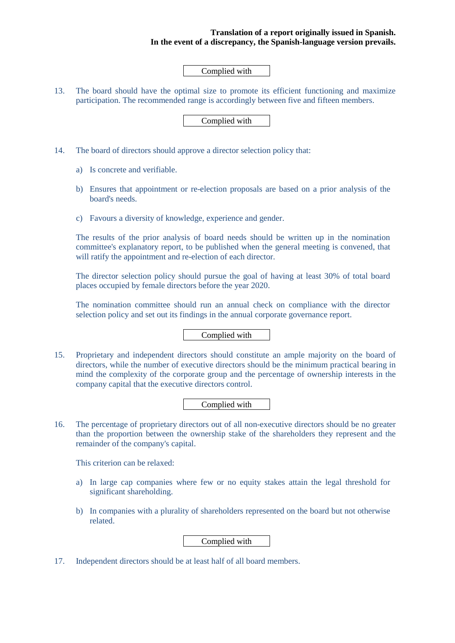## Complied with

13. The board should have the optimal size to promote its efficient functioning and maximize participation. The recommended range is accordingly between five and fifteen members.

Complied with

- 14. The board of directors should approve a director selection policy that:
	- a) Is concrete and verifiable.
	- b) Ensures that appointment or re-election proposals are based on a prior analysis of the board's needs.
	- c) Favours a diversity of knowledge, experience and gender.

The results of the prior analysis of board needs should be written up in the nomination committee's explanatory report, to be published when the general meeting is convened, that will ratify the appointment and re-election of each director.

The director selection policy should pursue the goal of having at least 30% of total board places occupied by female directors before the year 2020.

The nomination committee should run an annual check on compliance with the director selection policy and set out its findings in the annual corporate governance report.

## Complied with

15. Proprietary and independent directors should constitute an ample majority on the board of directors, while the number of executive directors should be the minimum practical bearing in mind the complexity of the corporate group and the percentage of ownership interests in the company capital that the executive directors control.

## Complied with

16. The percentage of proprietary directors out of all non-executive directors should be no greater than the proportion between the ownership stake of the shareholders they represent and the remainder of the company's capital.

This criterion can be relaxed:

- a) In large cap companies where few or no equity stakes attain the legal threshold for significant shareholding.
- b) In companies with a plurality of shareholders represented on the board but not otherwise related.

## Complied with

17. Independent directors should be at least half of all board members.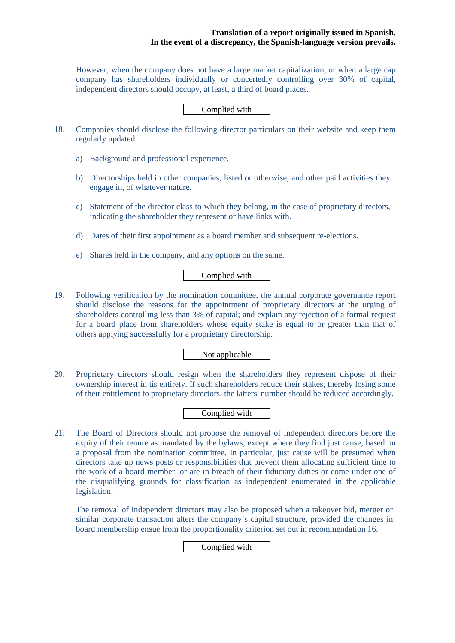However, when the company does not have a large market capitalization, or when a large cap company has shareholders individually or concertedly controlling over 30% of capital, independent directors should occupy, at least, a third of board places.

Complied with

- 18. Companies should disclose the following director particulars on their website and keep them regularly updated:
	- a) Background and professional experience.
	- b) Directorships held in other companies, listed or otherwise, and other paid activities they engage in, of whatever nature.
	- c) Statement of the director class to which they belong, in the case of proprietary directors, indicating the shareholder they represent or have links with.
	- d) Dates of their first appointment as a board member and subsequent re-elections.
	- e) Shares held in the company, and any options on the same.

## Complied with

19. Following verification by the nomination committee, the annual corporate governance report should disclose the reasons for the appointment of proprietary directors at the urging of shareholders controlling less than 3% of capital; and explain any rejection of a formal request for a board place from shareholders whose equity stake is equal to or greater than that of others applying successfully for a proprietary directorship.

## Not applicable

20. Proprietary directors should resign when the shareholders they represent dispose of their ownership interest in tis entirety. If such shareholders reduce their stakes, thereby losing some of their entitlement to proprietary directors, the latters' number should be reduced accordingly.

## Complied with

21. The Board of Directors should not propose the removal of independent directors before the expiry of their tenure as mandated by the bylaws, except where they find just cause, based on a proposal from the nomination committee. In particular, just cause will be presumed when directors take up news posts or responsibilities that prevent them allocating sufficient time to the work of a board member, or are in breach of their fiduciary duties or come under one of the disqualifying grounds for classification as independent enumerated in the applicable legislation.

The removal of independent directors may also be proposed when a takeover bid, merger or similar corporate transaction alters the company's capital structure, provided the changes in board membership ensue from the proportionality criterion set out in recommendation 16.

Complied with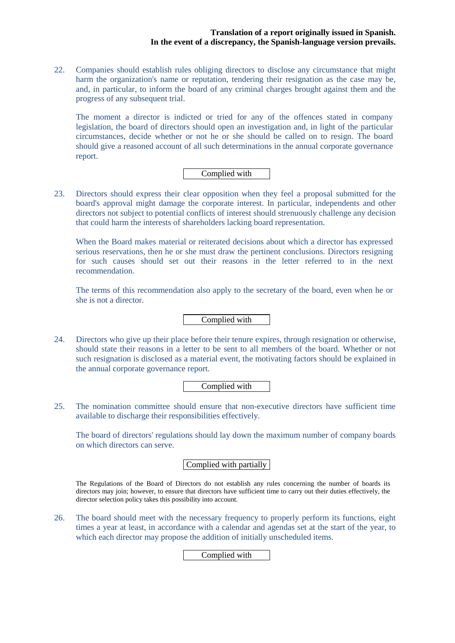22. Companies should establish rules obliging directors to disclose any circumstance that might harm the organization's name or reputation, tendering their resignation as the case may be, and, in particular, to inform the board of any criminal charges brought against them and the progress of any subsequent trial.

The moment a director is indicted or tried for any of the offences stated in company legislation, the board of directors should open an investigation and, in light of the particular circumstances, decide whether or not he or she should be called on to resign. The board should give a reasoned account of all such determinations in the annual corporate governance report.

## Complied with

23. Directors should express their clear opposition when they feel a proposal submitted for the board's approval might damage the corporate interest. In particular, independents and other directors not subject to potential conflicts of interest should strenuously challenge any decision that could harm the interests of shareholders lacking board representation.

When the Board makes material or reiterated decisions about which a director has expressed serious reservations, then he or she must draw the pertinent conclusions. Directors resigning for such causes should set out their reasons in the letter referred to in the next recommendation.

The terms of this recommendation also apply to the secretary of the board, even when he or she is not a director.

Complied with

24. Directors who give up their place before their tenure expires, through resignation or otherwise, should state their reasons in a letter to be sent to all members of the board. Whether or not such resignation is disclosed as a material event, the motivating factors should be explained in the annual corporate governance report.

Complied with

25. The nomination committee should ensure that non-executive directors have sufficient time available to discharge their responsibilities effectively.

The board of directors' regulations should lay down the maximum number of company boards on which directors can serve.

## Complied with partially

The Regulations of the Board of Directors do not establish any rules concerning the number of boards its directors may join; however, to ensure that directors have sufficient time to carry out their duties effectively, the director selection policy takes this possibility into account.

26. The board should meet with the necessary frequency to properly perform its functions, eight times a year at least, in accordance with a calendar and agendas set at the start of the year, to which each director may propose the addition of initially unscheduled items.

Complied with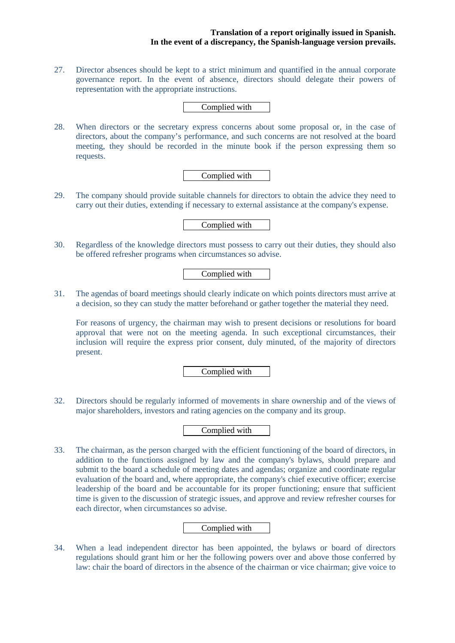27. Director absences should be kept to a strict minimum and quantified in the annual corporate governance report. In the event of absence, directors should delegate their powers of representation with the appropriate instructions.

Complied with

28. When directors or the secretary express concerns about some proposal or, in the case of directors, about the company's performance, and such concerns are not resolved at the board meeting, they should be recorded in the minute book if the person expressing them so requests.

Complied with

29. The company should provide suitable channels for directors to obtain the advice they need to carry out their duties, extending if necessary to external assistance at the company's expense.

Complied with

30. Regardless of the knowledge directors must possess to carry out their duties, they should also be offered refresher programs when circumstances so advise.

## Complied with

31. The agendas of board meetings should clearly indicate on which points directors must arrive at a decision, so they can study the matter beforehand or gather together the material they need.

For reasons of urgency, the chairman may wish to present decisions or resolutions for board approval that were not on the meeting agenda. In such exceptional circumstances, their inclusion will require the express prior consent, duly minuted, of the majority of directors present.

Complied with

32. Directors should be regularly informed of movements in share ownership and of the views of major shareholders, investors and rating agencies on the company and its group.

Complied with

33. The chairman, as the person charged with the efficient functioning of the board of directors, in addition to the functions assigned by law and the company's bylaws, should prepare and submit to the board a schedule of meeting dates and agendas; organize and coordinate regular evaluation of the board and, where appropriate, the company's chief executive officer; exercise leadership of the board and be accountable for its proper functioning; ensure that sufficient time is given to the discussion of strategic issues, and approve and review refresher courses for each director, when circumstances so advise.

### Complied with

34. When a lead independent director has been appointed, the bylaws or board of directors regulations should grant him or her the following powers over and above those conferred by law: chair the board of directors in the absence of the chairman or vice chairman; give voice to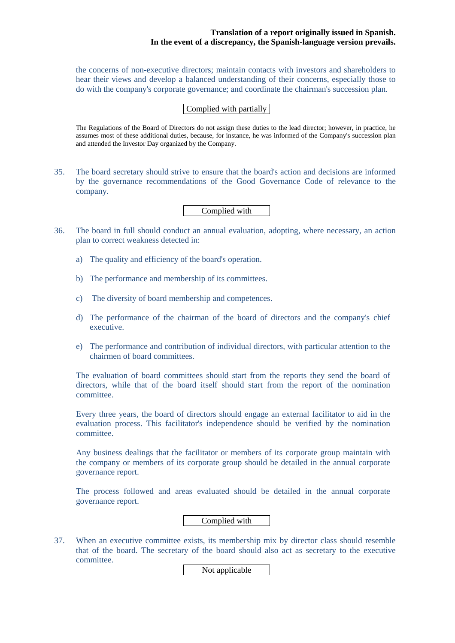the concerns of non-executive directors; maintain contacts with investors and shareholders to hear their views and develop a balanced understanding of their concerns, especially those to do with the company's corporate governance; and coordinate the chairman's succession plan.

## Complied with partially

The Regulations of the Board of Directors do not assign these duties to the lead director; however, in practice, he assumes most of these additional duties, because, for instance, he was informed of the Company's succession plan and attended the Investor Day organized by the Company.

35. The board secretary should strive to ensure that the board's action and decisions are informed by the governance recommendations of the Good Governance Code of relevance to the company.

## Complied with

- 36. The board in full should conduct an annual evaluation, adopting, where necessary, an action plan to correct weakness detected in:
	- a) The quality and efficiency of the board's operation.
	- b) The performance and membership of its committees.
	- c) The diversity of board membership and competences.
	- d) The performance of the chairman of the board of directors and the company's chief executive.
	- e) The performance and contribution of individual directors, with particular attention to the chairmen of board committees.

The evaluation of board committees should start from the reports they send the board of directors, while that of the board itself should start from the report of the nomination committee.

Every three years, the board of directors should engage an external facilitator to aid in the evaluation process. This facilitator's independence should be verified by the nomination committee.

Any business dealings that the facilitator or members of its corporate group maintain with the company or members of its corporate group should be detailed in the annual corporate governance report.

The process followed and areas evaluated should be detailed in the annual corporate governance report.

Complied with

37. When an executive committee exists, its membership mix by director class should resemble that of the board. The secretary of the board should also act as secretary to the executive committee.

Not applicable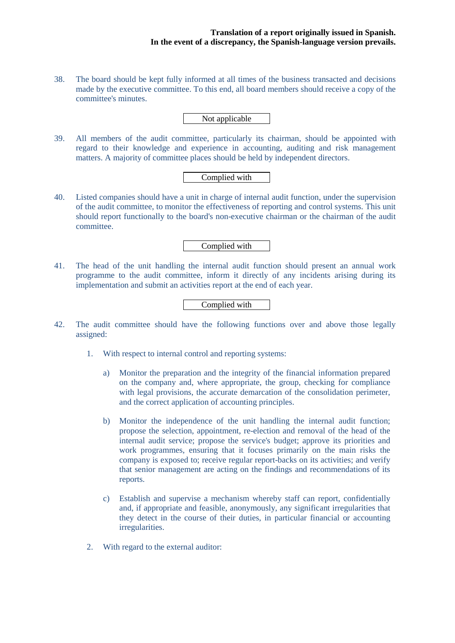38. The board should be kept fully informed at all times of the business transacted and decisions made by the executive committee. To this end, all board members should receive a copy of the committee's minutes.

Not applicable

39. All members of the audit committee, particularly its chairman, should be appointed with regard to their knowledge and experience in accounting, auditing and risk management matters. A majority of committee places should be held by independent directors.

## Complied with

40. Listed companies should have a unit in charge of internal audit function, under the supervision of the audit committee, to monitor the effectiveness of reporting and control systems. This unit should report functionally to the board's non-executive chairman or the chairman of the audit committee.

Complied with

41. The head of the unit handling the internal audit function should present an annual work programme to the audit committee, inform it directly of any incidents arising during its implementation and submit an activities report at the end of each year.

Complied with

- 42. The audit committee should have the following functions over and above those legally assigned:
	- 1. With respect to internal control and reporting systems:
		- a) Monitor the preparation and the integrity of the financial information prepared on the company and, where appropriate, the group, checking for compliance with legal provisions, the accurate demarcation of the consolidation perimeter, and the correct application of accounting principles.
		- b) Monitor the independence of the unit handling the internal audit function; propose the selection, appointment, re-election and removal of the head of the internal audit service; propose the service's budget; approve its priorities and work programmes, ensuring that it focuses primarily on the main risks the company is exposed to; receive regular report-backs on its activities; and verify that senior management are acting on the findings and recommendations of its reports.
		- c) Establish and supervise a mechanism whereby staff can report, confidentially and, if appropriate and feasible, anonymously, any significant irregularities that they detect in the course of their duties, in particular financial or accounting irregularities.
	- 2. With regard to the external auditor: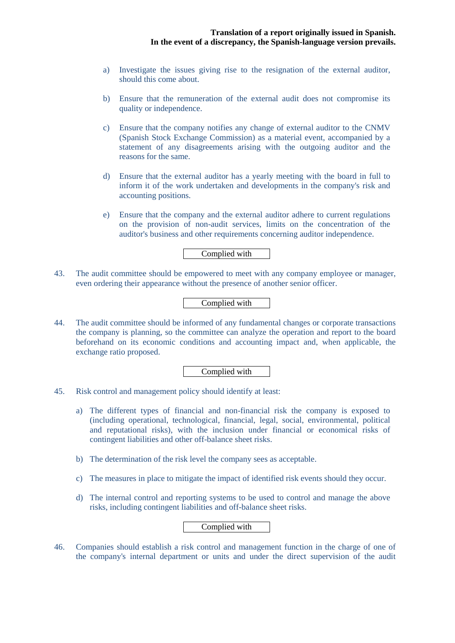- a) Investigate the issues giving rise to the resignation of the external auditor, should this come about.
- b) Ensure that the remuneration of the external audit does not compromise its quality or independence.
- c) Ensure that the company notifies any change of external auditor to the CNMV (Spanish Stock Exchange Commission) as a material event, accompanied by a statement of any disagreements arising with the outgoing auditor and the reasons for the same.
- d) Ensure that the external auditor has a yearly meeting with the board in full to inform it of the work undertaken and developments in the company's risk and accounting positions.
- e) Ensure that the company and the external auditor adhere to current regulations on the provision of non-audit services, limits on the concentration of the auditor's business and other requirements concerning auditor independence.

## Complied with

43. The audit committee should be empowered to meet with any company employee or manager, even ordering their appearance without the presence of another senior officer.

## Complied with

44. The audit committee should be informed of any fundamental changes or corporate transactions the company is planning, so the committee can analyze the operation and report to the board beforehand on its economic conditions and accounting impact and, when applicable, the exchange ratio proposed.

### Complied with

- 45. Risk control and management policy should identify at least:
	- a) The different types of financial and non-financial risk the company is exposed to (including operational, technological, financial, legal, social, environmental, political and reputational risks), with the inclusion under financial or economical risks of contingent liabilities and other off-balance sheet risks.
	- b) The determination of the risk level the company sees as acceptable.
	- c) The measures in place to mitigate the impact of identified risk events should they occur.
	- d) The internal control and reporting systems to be used to control and manage the above risks, including contingent liabilities and off-balance sheet risks.

## Complied with

46. Companies should establish a risk control and management function in the charge of one of the company's internal department or units and under the direct supervision of the audit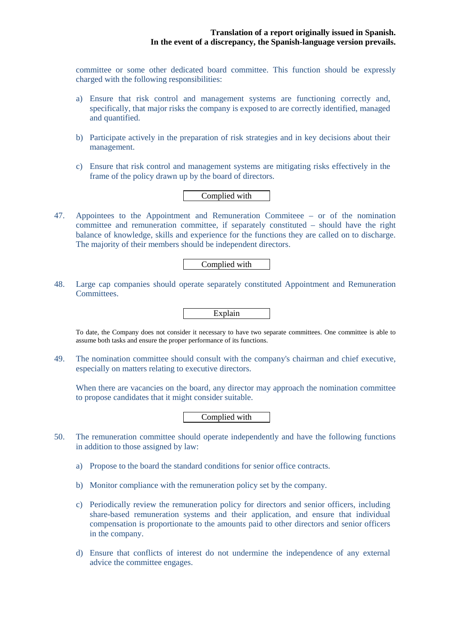committee or some other dedicated board committee. This function should be expressly charged with the following responsibilities:

- a) Ensure that risk control and management systems are functioning correctly and, specifically, that major risks the company is exposed to are correctly identified, managed and quantified.
- b) Participate actively in the preparation of risk strategies and in key decisions about their management.
- c) Ensure that risk control and management systems are mitigating risks effectively in the frame of the policy drawn up by the board of directors.

## Complied with

47. Appointees to the Appointment and Remuneration Commiteee – or of the nomination committee and remuneration committee, if separately constituted – should have the right balance of knowledge, skills and experience for the functions they are called on to discharge. The majority of their members should be independent directors.

## Complied with

48. Large cap companies should operate separately constituted Appointment and Remuneration Committees.



To date, the Company does not consider it necessary to have two separate committees. One committee is able to assume both tasks and ensure the proper performance of its functions.

49. The nomination committee should consult with the company's chairman and chief executive, especially on matters relating to executive directors.

When there are vacancies on the board, any director may approach the nomination committee to propose candidates that it might consider suitable.

Complied with

- 50. The remuneration committee should operate independently and have the following functions in addition to those assigned by law:
	- a) Propose to the board the standard conditions for senior office contracts.
	- b) Monitor compliance with the remuneration policy set by the company.
	- c) Periodically review the remuneration policy for directors and senior officers, including share-based remuneration systems and their application, and ensure that individual compensation is proportionate to the amounts paid to other directors and senior officers in the company.
	- d) Ensure that conflicts of interest do not undermine the independence of any external advice the committee engages.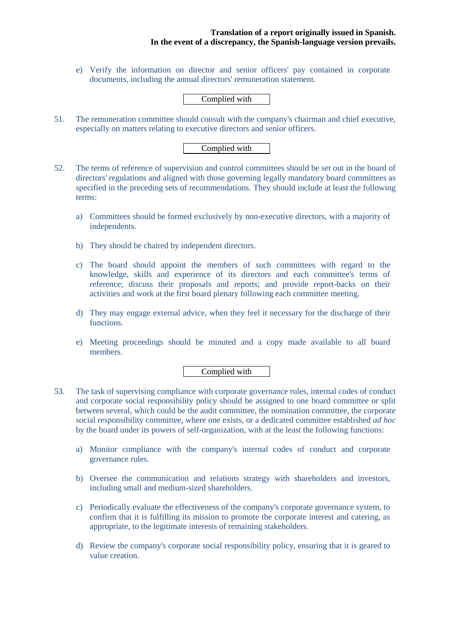e) Verify the information on director and senior officers' pay contained in corporate documents, including the annual directors' remuneration statement.

## Complied with

51. The remuneration committee should consult with the company's chairman and chief executive, especially on matters relating to executive directors and senior officers.

Complied with

- 52. The terms of reference of supervision and control committees should be set out in the board of directors' regulations and aligned with those governing legally mandatory board committees as specified in the preceding sets of recommendations. They should include at least the following terms:
	- a) Committees should be formed exclusively by non-executive directors, with a majority of independents.
	- b) They should be chaired by independent directors.
	- c) The board should appoint the members of such committees with regard to the knowledge, skills and experience of its directors and each committee's terms of reference; discuss their proposals and reports; and provide report-backs on their activities and work at the first board plenary following each committee meeting.
	- d) They may engage external advice, when they feel it necessary for the discharge of their functions.
	- e) Meeting proceedings should be minuted and a copy made available to all board members.

Complied with

- 53. The task of supervising compliance with corporate governance rules, internal codes of conduct and corporate social responsibility policy should be assigned to one board committee or split between several, which could be the audit committee, the nomination committee, the corporate social responsibility committee, where one exists, or a dedicated committee established *ad hoc* by the board under its powers of self-organization, with at the least the following functions:
	- a) Monitor compliance with the company's internal codes of conduct and corporate governance rules.
	- b) Oversee the communication and relations strategy with shareholders and investors, including small and medium-sized shareholders.
	- c) Periodically evaluate the effectiveness of the company's corporate governance system, to confirm that it is fulfilling its mission to promote the corporate interest and catering, as appropriate, to the legitimate interests of remaining stakeholders.
	- d) Review the company's corporate social responsibility policy, ensuring that it is geared to value creation.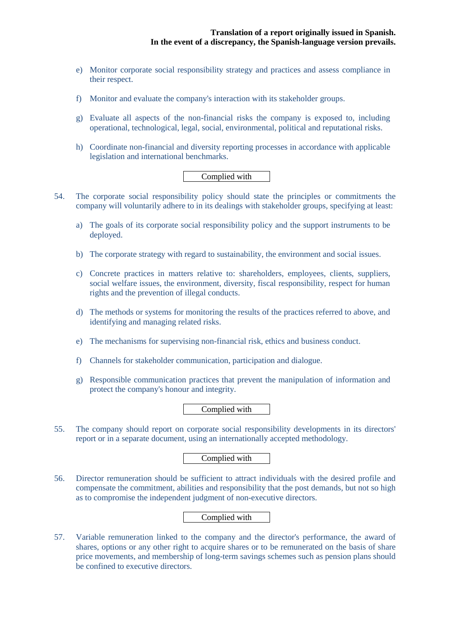- e) Monitor corporate social responsibility strategy and practices and assess compliance in their respect.
- f) Monitor and evaluate the company's interaction with its stakeholder groups.
- g) Evaluate all aspects of the non-financial risks the company is exposed to, including operational, technological, legal, social, environmental, political and reputational risks.
- h) Coordinate non-financial and diversity reporting processes in accordance with applicable legislation and international benchmarks.

## Complied with

- 54. The corporate social responsibility policy should state the principles or commitments the company will voluntarily adhere to in its dealings with stakeholder groups, specifying at least:
	- a) The goals of its corporate social responsibility policy and the support instruments to be deployed.
	- b) The corporate strategy with regard to sustainability, the environment and social issues.
	- c) Concrete practices in matters relative to: shareholders, employees, clients, suppliers, social welfare issues, the environment, diversity, fiscal responsibility, respect for human rights and the prevention of illegal conducts.
	- d) The methods or systems for monitoring the results of the practices referred to above, and identifying and managing related risks.
	- e) The mechanisms for supervising non-financial risk, ethics and business conduct.
	- f) Channels for stakeholder communication, participation and dialogue.
	- g) Responsible communication practices that prevent the manipulation of information and protect the company's honour and integrity.

### Complied with

55. The company should report on corporate social responsibility developments in its directors' report or in a separate document, using an internationally accepted methodology.

## Complied with

56. Director remuneration should be sufficient to attract individuals with the desired profile and compensate the commitment, abilities and responsibility that the post demands, but not so high as to compromise the independent judgment of non-executive directors.

## Complied with

57. Variable remuneration linked to the company and the director's performance, the award of shares, options or any other right to acquire shares or to be remunerated on the basis of share price movements, and membership of long-term savings schemes such as pension plans should be confined to executive directors.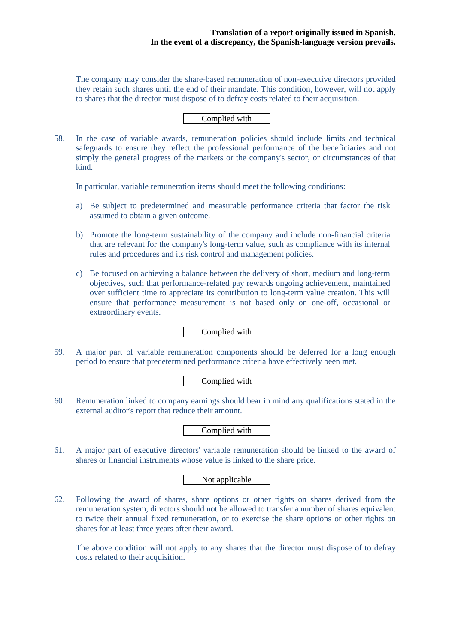The company may consider the share-based remuneration of non-executive directors provided they retain such shares until the end of their mandate. This condition, however, will not apply to shares that the director must dispose of to defray costs related to their acquisition.

Complied with

58. In the case of variable awards, remuneration policies should include limits and technical safeguards to ensure they reflect the professional performance of the beneficiaries and not simply the general progress of the markets or the company's sector, or circumstances of that kind.

In particular, variable remuneration items should meet the following conditions:

- a) Be subject to predetermined and measurable performance criteria that factor the risk assumed to obtain a given outcome.
- b) Promote the long-term sustainability of the company and include non-financial criteria that are relevant for the company's long-term value, such as compliance with its internal rules and procedures and its risk control and management policies.
- c) Be focused on achieving a balance between the delivery of short, medium and long-term objectives, such that performance-related pay rewards ongoing achievement, maintained over sufficient time to appreciate its contribution to long-term value creation. This will ensure that performance measurement is not based only on one-off, occasional or extraordinary events.

Complied with

59. A major part of variable remuneration components should be deferred for a long enough period to ensure that predetermined performance criteria have effectively been met.

## Complied with

60. Remuneration linked to company earnings should bear in mind any qualifications stated in the external auditor's report that reduce their amount.

## Complied with

61. A major part of executive directors' variable remuneration should be linked to the award of shares or financial instruments whose value is linked to the share price.

## Not applicable

62. Following the award of shares, share options or other rights on shares derived from the remuneration system, directors should not be allowed to transfer a number of shares equivalent to twice their annual fixed remuneration, or to exercise the share options or other rights on shares for at least three years after their award.

The above condition will not apply to any shares that the director must dispose of to defray costs related to their acquisition.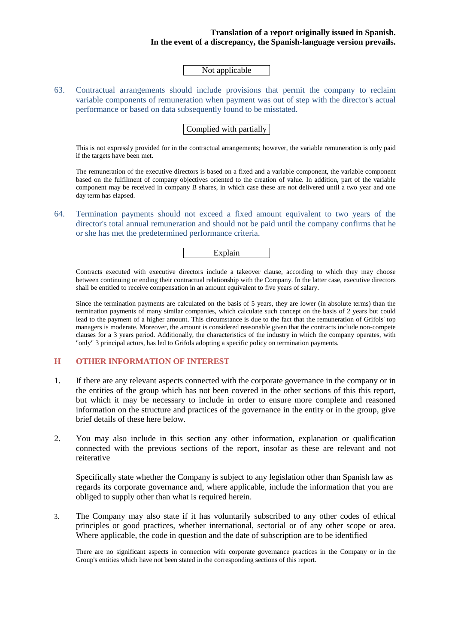Not applicable

63. Contractual arrangements should include provisions that permit the company to reclaim variable components of remuneration when payment was out of step with the director's actual performance or based on data subsequently found to be misstated.

Complied with partially

This is not expressly provided for in the contractual arrangements; however, the variable remuneration is only paid if the targets have been met.

The remuneration of the executive directors is based on a fixed and a variable component, the variable component based on the fulfilment of company objectives oriented to the creation of value. In addition, part of the variable component may be received in company B shares, in which case these are not delivered until a two year and one day term has elapsed.

64. Termination payments should not exceed a fixed amount equivalent to two years of the director's total annual remuneration and should not be paid until the company confirms that he or she has met the predetermined performance criteria.

Explain

Contracts executed with executive directors include a takeover clause, according to which they may choose between continuing or ending their contractual relationship with the Company. In the latter case, executive directors shall be entitled to receive compensation in an amount equivalent to five years of salary.

Since the termination payments are calculated on the basis of 5 years, they are lower (in absolute terms) than the termination payments of many similar companies, which calculate such concept on the basis of 2 years but could lead to the payment of a higher amount. This circumstance is due to the fact that the remuneration of Grifols' top managers is moderate. Moreover, the amount is considered reasonable given that the contracts include non-compete clauses for a 3 years period. Additionally, the characteristics of the industry in which the company operates, with "only" 3 principal actors, has led to Grifols adopting a specific policy on termination payments.

## **H OTHER INFORMATION OF INTEREST**

- 1. If there are any relevant aspects connected with the corporate governance in the company or in the entities of the group which has not been covered in the other sections of this this report, but which it may be necessary to include in order to ensure more complete and reasoned information on the structure and practices of the governance in the entity or in the group, give brief details of these here below.
- 2. You may also include in this section any other information, explanation or qualification connected with the previous sections of the report, insofar as these are relevant and not reiterative

Specifically state whether the Company is subject to any legislation other than Spanish law as regards its corporate governance and, where applicable, include the information that you are obliged to supply other than what is required herein.

3. The Company may also state if it has voluntarily subscribed to any other codes of ethical principles or good practices, whether international, sectorial or of any other scope or area. Where applicable, the code in question and the date of subscription are to be identified

There are no significant aspects in connection with corporate governance practices in the Company or in the Group's entities which have not been stated in the corresponding sections of this report.